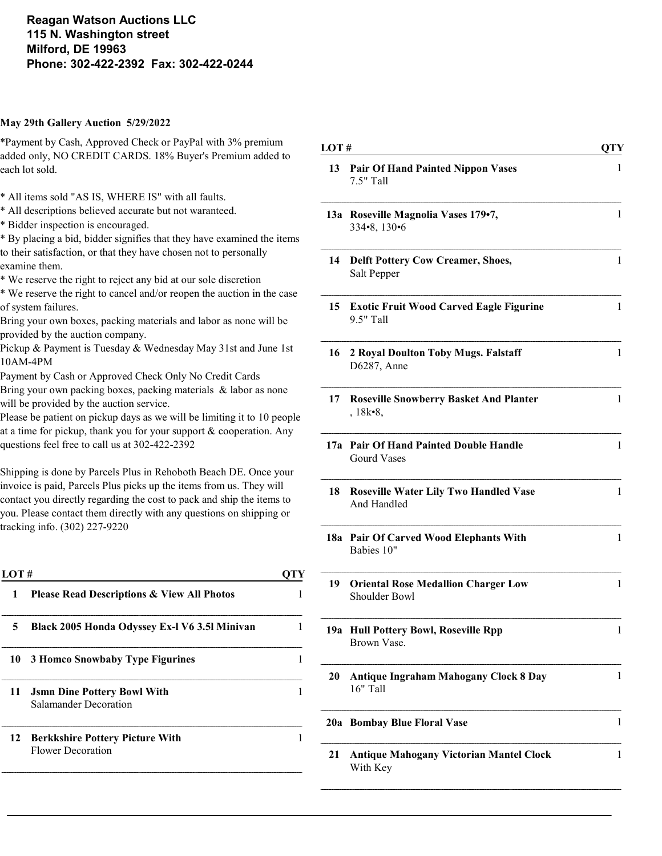Reagan Watson Auctions LLC 115 N. Washington street Milford, DE 19963 Phone: 302-422-2392 Fax: 302-422-0244

#### May 29th Gallery Auction 5/29/2022

\*Payment by Cash, Approved Check or PayPal with 3% premium added only, NO CREDIT CARDS. 18% Buyer's Premium added to each lot sold.

- \* All items sold "AS IS, WHERE IS" with all faults.
- \* All descriptions believed accurate but not waranteed.
- \* Bidder inspection is encouraged.

\* By placing a bid, bidder signifies that they have examined the items to their satisfaction, or that they have chosen not to personally examine them.

\* We reserve the right to reject any bid at our sole discretion

\* We reserve the right to cancel and/or reopen the auction in the case of system failures.

Bring your own boxes, packing materials and labor as none will be provided by the auction company.

Pickup & Payment is Tuesday & Wednesday May 31st and June 1st 10AM-4PM

- Payment by Cash or Approved Check Only No Credit Cards
- Bring your own packing boxes, packing materials & labor as none will be provided by the auction service.

Please be patient on pickup days as we will be limiting it to 10 people at a time for pickup, thank you for your support & cooperation. Any questions feel free to call us at 302-422-2392

Shipping is done by Parcels Plus in Rehoboth Beach DE. Once your invoice is paid, Parcels Plus picks up the items from us. They will contact you directly regarding the cost to pack and ship the items to you. Please contact them directly with any questions on shipping or tracking info. (302) 227-9220

| <b>Please Read Descriptions &amp; View All Photos</b><br>Black 2005 Honda Odyssey Ex-1 V6 3.51 Minivan |
|--------------------------------------------------------------------------------------------------------|
|                                                                                                        |
|                                                                                                        |
| 3 Homco Snowbaby Type Figurines                                                                        |
|                                                                                                        |
|                                                                                                        |
|                                                                                                        |

| LOT# |                                                                 | <b>QTY</b>   |
|------|-----------------------------------------------------------------|--------------|
| 13   | <b>Pair Of Hand Painted Nippon Vases</b><br>7.5" Tall           | 1            |
|      | 13a Roseville Magnolia Vases 179•7,<br>334•8, 130•6             | 1            |
| 14   | <b>Delft Pottery Cow Creamer, Shoes,</b><br>Salt Pepper         | 1            |
| 15   | <b>Exotic Fruit Wood Carved Eagle Figurine</b><br>9.5" Tall     | 1            |
| 16   | 2 Royal Doulton Toby Mugs. Falstaff<br>D6287, Anne              | 1            |
| 17   | <b>Roseville Snowberry Basket And Planter</b><br>$, 18k-8,$     | 1            |
| 17а  | <b>Pair Of Hand Painted Double Handle</b><br><b>Gourd Vases</b> | $\mathbf{1}$ |
| 18   | <b>Roseville Water Lily Two Handled Vase</b><br>And Handled     | 1            |
|      | 18a Pair Of Carved Wood Elephants With<br>Babies 10"            | 1            |
| 19   | <b>Oriental Rose Medallion Charger Low</b><br>Shoulder Bowl     | 1            |
|      | 19a Hull Pottery Bowl, Roseville Rpp<br>Brown Vase.             | 1            |
| 20   | <b>Antique Ingraham Mahogany Clock 8 Day</b><br>16" Tall        | 1            |
| 20a  | <b>Bombay Blue Floral Vase</b>                                  | 1            |
| 21   | <b>Antique Mahogany Victorian Mantel Clock</b><br>With Key      | 1            |
|      |                                                                 |              |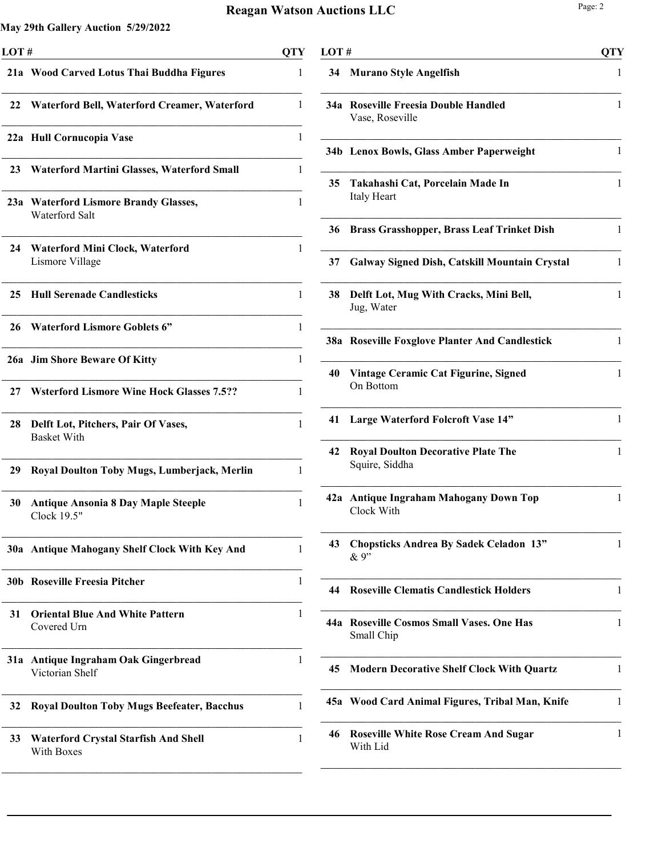| LOT# |                                                           | <b>QTY</b> |
|------|-----------------------------------------------------------|------------|
|      | 21a Wood Carved Lotus Thai Buddha Figures                 | 1          |
| 22   | Waterford Bell, Waterford Creamer, Waterford              | 1          |
|      | 22a Hull Cornucopia Vase                                  | 1          |
| 23   | <b>Waterford Martini Glasses, Waterford Small</b>         | 1          |
|      | 23a Waterford Lismore Brandy Glasses,<br>Waterford Salt   | 1          |
| 24   | <b>Waterford Mini Clock, Waterford</b><br>Lismore Village | 1          |
| 25   | <b>Hull Serenade Candlesticks</b>                         | 1          |
| 26   | <b>Waterford Lismore Goblets 6"</b>                       | 1          |
|      | 26a Jim Shore Beware Of Kitty                             | 1          |
| 27   | <b>Witerford Lismore Wine Hock Glasses 7.5??</b>          | 1          |
| 28   | Delft Lot, Pitchers, Pair Of Vases,<br><b>Basket With</b> | 1          |
| 29   | Royal Doulton Toby Mugs, Lumberjack, Merlin               | 1          |
| 30   | <b>Antique Ansonia 8 Day Maple Steeple</b><br>Clock 19.5" | 1          |
|      | 30a Antique Mahogany Shelf Clock With Key And             | 1          |
| 30b  | <b>Roseville Freesia Pitcher</b>                          | 1          |
| 31   | <b>Oriental Blue And White Pattern</b><br>Covered Urn     | 1          |
| 31a  | Antique Ingraham Oak Gingerbread<br>Victorian Shelf       | 1          |
| 32   | <b>Royal Doulton Toby Mugs Beefeater, Bacchus</b>         | 1          |
| 33   | <b>Waterford Crystal Starfish And Shell</b><br>With Boxes | 1          |

|     | LOT#                                                        |   |
|-----|-------------------------------------------------------------|---|
| 34  | <b>Murano Style Angelfish</b>                               | 1 |
|     | 34a Roseville Freesia Double Handled<br>Vase, Roseville     | 1 |
|     | 34b Lenox Bowls, Glass Amber Paperweight                    | 1 |
| 35  | Takahashi Cat, Porcelain Made In<br>Italy Heart             | 1 |
| 36  | <b>Brass Grasshopper, Brass Leaf Trinket Dish</b>           | 1 |
| 37  | <b>Galway Signed Dish, Catskill Mountain Crystal</b>        | 1 |
| 38  | Delft Lot, Mug With Cracks, Mini Bell,<br>Jug, Water        | 1 |
|     | 38a Roseville Foxglove Planter And Candlestick              | 1 |
| 40  | Vintage Ceramic Cat Figurine, Signed<br>On Bottom           | 1 |
| 41  | Large Waterford Folcroft Vase 14"                           | 1 |
| 42  | <b>Royal Doulton Decorative Plate The</b><br>Squire, Siddha | 1 |
| 42a | <b>Antique Ingraham Mahogany Down Top</b><br>Clock With     | 1 |
| 43  | <b>Chopsticks Andrea By Sadek Celadon 13"</b><br>& 9"       | 1 |
| 44  | <b>Roseville Clematis Candlestick Holders</b>               | 1 |
|     | 44a Roseville Cosmos Small Vases. One Has<br>Small Chip     | 1 |
| 45  | <b>Modern Decorative Shelf Clock With Quartz</b>            | 1 |
|     | 45a Wood Card Animal Figures, Tribal Man, Knife             | 1 |
| 46  | <b>Roseville White Rose Cream And Sugar</b><br>With Lid     | 1 |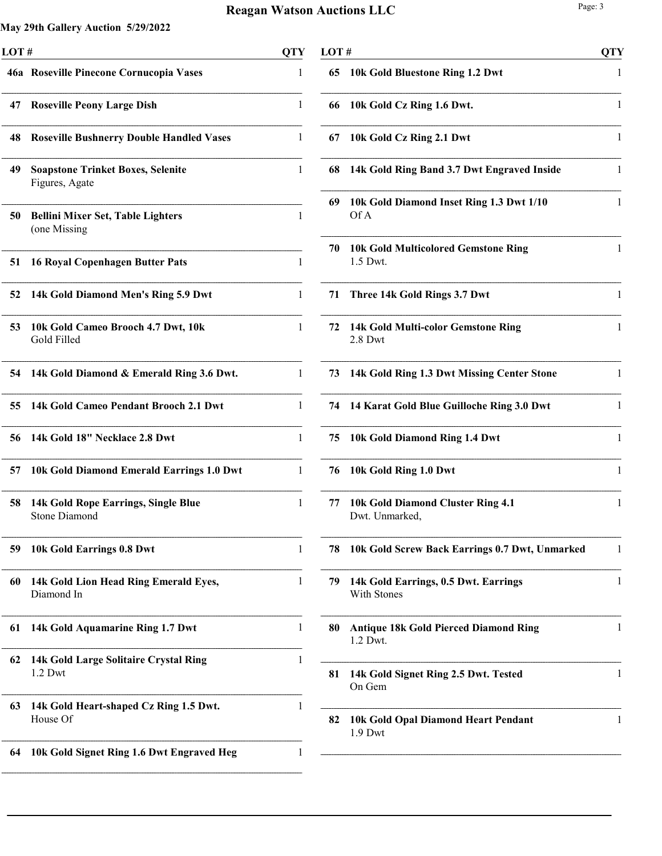j.

| LOT# |                                                             | <b>QTY</b> |
|------|-------------------------------------------------------------|------------|
|      | 46a Roseville Pinecone Cornucopia Vases                     | 1          |
| 47   | <b>Roseville Peony Large Dish</b>                           | 1          |
| 48   | <b>Roseville Bushnerry Double Handled Vases</b>             | 1          |
| 49   | <b>Soapstone Trinket Boxes, Selenite</b><br>Figures, Agate  | 1          |
| 50   | <b>Bellini Mixer Set, Table Lighters</b><br>(one Missing    | 1          |
| 51   | <b>16 Royal Copenhagen Butter Pats</b>                      | 1          |
| 52   | 14k Gold Diamond Men's Ring 5.9 Dwt                         | 1          |
| 53   | 10k Gold Cameo Brooch 4.7 Dwt, 10k<br>Gold Filled           | 1          |
| 54   | 14k Gold Diamond & Emerald Ring 3.6 Dwt.                    | 1          |
| 55   | 14k Gold Cameo Pendant Brooch 2.1 Dwt                       | 1          |
| 56   | 14k Gold 18" Necklace 2.8 Dwt                               | 1          |
| 57   | 10k Gold Diamond Emerald Earrings 1.0 Dwt                   | 1          |
| 58   | 14k Gold Rope Earrings, Single Blue<br><b>Stone Diamond</b> | 1          |
| 59   | 10k Gold Earrings 0.8 Dwt                                   | 1          |
| 60   | 14k Gold Lion Head Ring Emerald Eyes,<br>Diamond In         | 1          |
| 61   | 14k Gold Aquamarine Ring 1.7 Dwt                            | 1          |
| 62   | 14k Gold Large Solitaire Crystal Ring<br>1.2 Dwt            | 1          |
| 63   | 14k Gold Heart-shaped Cz Ring 1.5 Dwt.<br>House Of          | 1          |
| 64   | 10k Gold Signet Ring 1.6 Dwt Engraved Heg                   | 1          |

| LOT # |                                                          | <b>QTY</b> |
|-------|----------------------------------------------------------|------------|
| 65    | 10k Gold Bluestone Ring 1.2 Dwt                          | 1          |
| 66    | 10k Gold Cz Ring 1.6 Dwt.                                | 1          |
| 67    | 10k Gold Cz Ring 2.1 Dwt                                 | 1          |
| 68    | 14k Gold Ring Band 3.7 Dwt Engraved Inside               | 1          |
| 69    | 10k Gold Diamond Inset Ring 1.3 Dwt 1/10<br>Of A         | 1          |
| 70    | <b>10k Gold Multicolored Gemstone Ring</b><br>1.5 Dwt.   | 1          |
| 71    | Three 14k Gold Rings 3.7 Dwt                             | 1          |
| 72    | 14k Gold Multi-color Gemstone Ring<br>$2.8$ Dwt          | 1          |
| 73    | 14k Gold Ring 1.3 Dwt Missing Center Stone               | 1          |
| 74    | 14 Karat Gold Blue Guilloche Ring 3.0 Dwt                | 1          |
| 75    | 10k Gold Diamond Ring 1.4 Dwt                            | 1          |
| 76    | 10k Gold Ring 1.0 Dwt                                    | 1          |
| 77    | 10k Gold Diamond Cluster Ring 4.1<br>Dwt. Unmarked,      | 1          |
| 78    | 10k Gold Screw Back Earrings 0.7 Dwt, Unmarked           | 1          |
| 79    | 14k Gold Earrings, 0.5 Dwt. Earrings<br>With Stones      | 1          |
| 80    | <b>Antique 18k Gold Pierced Diamond Ring</b><br>1.2 Dwt. | 1          |
| 81    | 14k Gold Signet Ring 2.5 Dwt. Tested<br>On Gem           | 1          |
| 82    | 10k Gold Opal Diamond Heart Pendant<br>1.9 Dwt           | 1          |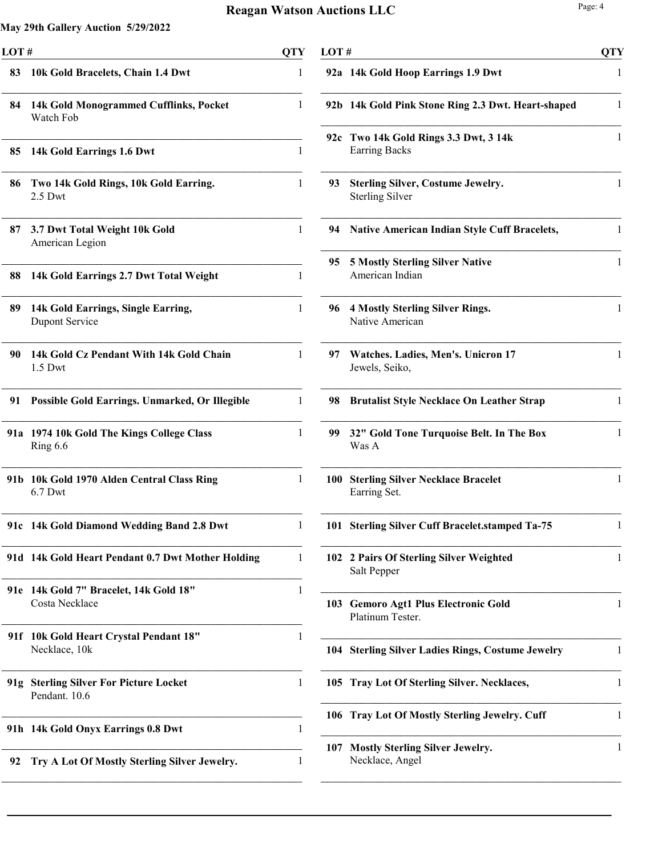| LOT#            |                                                             | <b>QTY</b>   |
|-----------------|-------------------------------------------------------------|--------------|
| 83              | 10k Gold Bracelets, Chain 1.4 Dwt                           | 1            |
| 84              | 14k Gold Monogrammed Cufflinks, Pocket<br>Watch Fob         | 1            |
| 85              | 14k Gold Earrings 1.6 Dwt                                   | 1            |
| 86              | Two 14k Gold Rings, 10k Gold Earring.<br>$2.5$ Dwt          | 1            |
| 87              | 3.7 Dwt Total Weight 10k Gold<br>American Legion            | 1            |
| 88              | 14k Gold Earrings 2.7 Dwt Total Weight                      | 1            |
| 89              | 14k Gold Earrings, Single Earring,<br><b>Dupont Service</b> | 1            |
| 90              | 14k Gold Cz Pendant With 14k Gold Chain<br>$1.5$ Dwt        | $\mathbf{1}$ |
| 91              | Possible Gold Earrings. Unmarked, Or Illegible              | 1            |
|                 | 91a 1974 10k Gold The Kings College Class<br>Ring 6.6       | 1            |
| 91 <sub>b</sub> | 10k Gold 1970 Alden Central Class Ring<br>$6.7$ Dwt         | 1            |
|                 | 91c 14k Gold Diamond Wedding Band 2.8 Dwt                   | 1            |
|                 | 91d 14k Gold Heart Pendant 0.7 Dwt Mother Holding           | 1            |
| 91e             | 14k Gold 7" Bracelet, 14k Gold 18"<br>Costa Necklace        | 1            |
| 91f             | 10k Gold Heart Crystal Pendant 18"<br>Necklace, 10k         | 1            |
| 91g             | <b>Sterling Silver For Picture Locket</b><br>Pendant. 10.6  | 1            |
|                 | 91h 14k Gold Onyx Earrings 0.8 Dwt                          | 1            |
| 92              | Try A Lot Of Mostly Sterling Silver Jewelry.                | 1            |

| LOT # |                                                                    | <b>QTY</b>   |
|-------|--------------------------------------------------------------------|--------------|
|       | 92a 14k Gold Hoop Earrings 1.9 Dwt                                 | 1            |
| 92b   | 14k Gold Pink Stone Ring 2.3 Dwt. Heart-shaped                     | 1            |
| 92c   | Two 14k Gold Rings 3.3 Dwt, 3 14k<br><b>Earring Backs</b>          | 1            |
| 93    | <b>Sterling Silver, Costume Jewelry.</b><br><b>Sterling Silver</b> | 1            |
| 94    | <b>Native American Indian Style Cuff Bracelets,</b>                | 1            |
| 95    | <b>5 Mostly Sterling Silver Native</b><br>American Indian          | 1            |
| 96    | <b>4 Mostly Sterling Silver Rings.</b><br>Native American          | 1            |
| 97    | Watches. Ladies, Men's. Unicron 17<br>Jewels, Seiko,               | 1            |
| 98    | <b>Brutalist Style Necklace On Leather Strap</b>                   | $\mathbf{1}$ |
| 99    | 32" Gold Tone Turquoise Belt. In The Box<br>Was A                  | $\mathbf{1}$ |
| 100   | <b>Sterling Silver Necklace Bracelet</b><br>Earring Set.           | $\mathbf{1}$ |
| 101   | <b>Sterling Silver Cuff Bracelet.stamped Ta-75</b>                 | 1            |
| 102   | 2 Pairs Of Sterling Silver Weighted<br>Salt Pepper                 | 1            |
| 103   | <b>Gemoro Agt1 Plus Electronic Gold</b><br>Platinum Tester.        | 1            |
| 104   | <b>Sterling Silver Ladies Rings, Costume Jewelry</b>               | 1            |
| 105   | <b>Tray Lot Of Sterling Silver. Necklaces,</b>                     | 1            |
| 106   | <b>Tray Lot Of Mostly Sterling Jewelry. Cuff</b>                   | 1            |
| 107   | <b>Mostly Sterling Silver Jewelry.</b><br>Necklace, Angel          | 1            |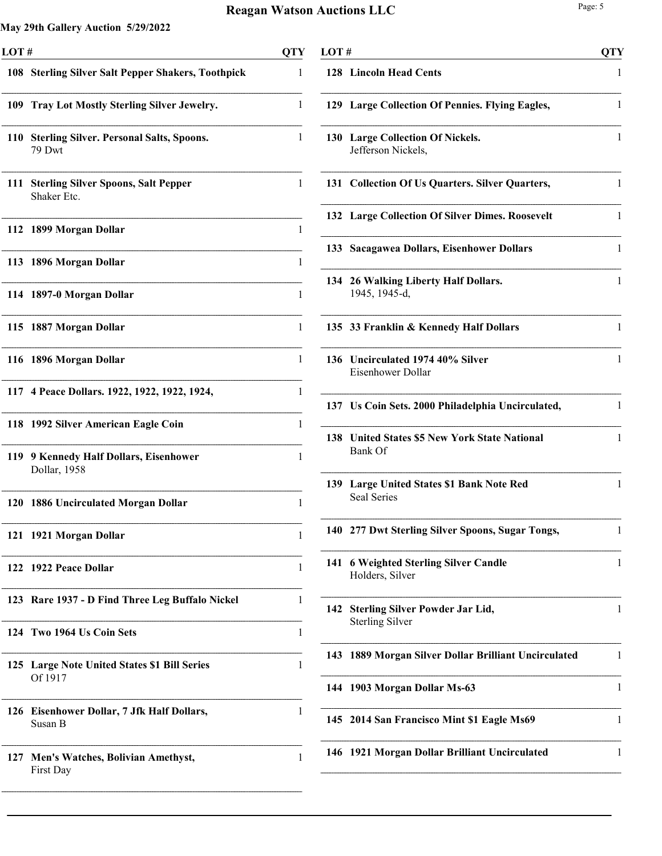| LOT# |                                                           | <b>QTY</b> |
|------|-----------------------------------------------------------|------------|
|      | 108 Sterling Silver Salt Pepper Shakers, Toothpick        | 1          |
|      | 109 Tray Lot Mostly Sterling Silver Jewelry.              | 1          |
| 110  | <b>Sterling Silver. Personal Salts, Spoons.</b><br>79 Dwt | 1          |
| 111  | <b>Sterling Silver Spoons, Salt Pepper</b><br>Shaker Etc. | 1          |
|      | 112 1899 Morgan Dollar                                    | 1          |
| 113  | 1896 Morgan Dollar                                        | 1          |
| 114  | 1897-0 Morgan Dollar                                      | 1          |
| 115  | 1887 Morgan Dollar                                        | 1          |
| 116  | 1896 Morgan Dollar                                        | 1          |
| 117  | 4 Peace Dollars. 1922, 1922, 1922, 1924,                  | 1          |
| 118  | 1992 Silver American Eagle Coin                           | 1          |
| 119  | 9 Kennedy Half Dollars, Eisenhower<br>Dollar, 1958        | 1          |
| 120  | 1886 Uncirculated Morgan Dollar                           | 1          |
| 121  | 1921 Morgan Dollar                                        | 1          |
| 122  | 1922 Peace Dollar                                         | 1          |
|      | 123 Rare 1937 - D Find Three Leg Buffalo Nickel           | 1          |
|      | 124 Two 1964 Us Coin Sets                                 | 1          |
|      | 125 Large Note United States \$1 Bill Series<br>Of 1917   | 1          |
| 126  | <b>Eisenhower Dollar, 7 Jfk Half Dollars,</b><br>Susan B  | 1          |
| 127  | Men's Watches, Bolivian Amethyst,<br>First Day            | 1          |
|      |                                                           |            |

| LOT# |                                                                  | <b>QTY</b> |
|------|------------------------------------------------------------------|------------|
|      | 128 Lincoln Head Cents                                           | 1          |
|      | 129 Large Collection Of Pennies. Flying Eagles,                  | 1          |
| 130  | <b>Large Collection Of Nickels.</b><br>Jefferson Nickels,        | 1          |
|      | 131 Collection Of Us Quarters. Silver Quarters,                  | 1          |
|      | 132 Large Collection Of Silver Dimes. Roosevelt                  | 1          |
|      | 133 Sacagawea Dollars, Eisenhower Dollars                        | 1          |
|      | 134 26 Walking Liberty Half Dollars.<br>1945, 1945-d,            | 1          |
|      | 135 33 Franklin & Kennedy Half Dollars                           | 1          |
| 136  | Uncirculated 1974 40% Silver<br>Eisenhower Dollar                | 1          |
|      | 137 Us Coin Sets. 2000 Philadelphia Uncirculated,                | 1          |
| 138  | <b>United States \$5 New York State National</b><br>Bank Of      | 1          |
| 139  | <b>Large United States \$1 Bank Note Red</b><br>Seal Series      | 1          |
|      | 140 277 Dwt Sterling Silver Spoons, Sugar Tongs,                 |            |
| 141  | <b>6 Weighted Sterling Silver Candle</b><br>Holders, Silver      | 1          |
| 142  | <b>Sterling Silver Powder Jar Lid,</b><br><b>Sterling Silver</b> | 1          |
| 143  | 1889 Morgan Silver Dollar Brilliant Uncirculated                 | 1          |
|      | 144 1903 Morgan Dollar Ms-63                                     | 1          |
|      | 145 2014 San Francisco Mint \$1 Eagle Ms69                       | 1          |
|      | 146 1921 Morgan Dollar Brilliant Uncirculated                    | 1          |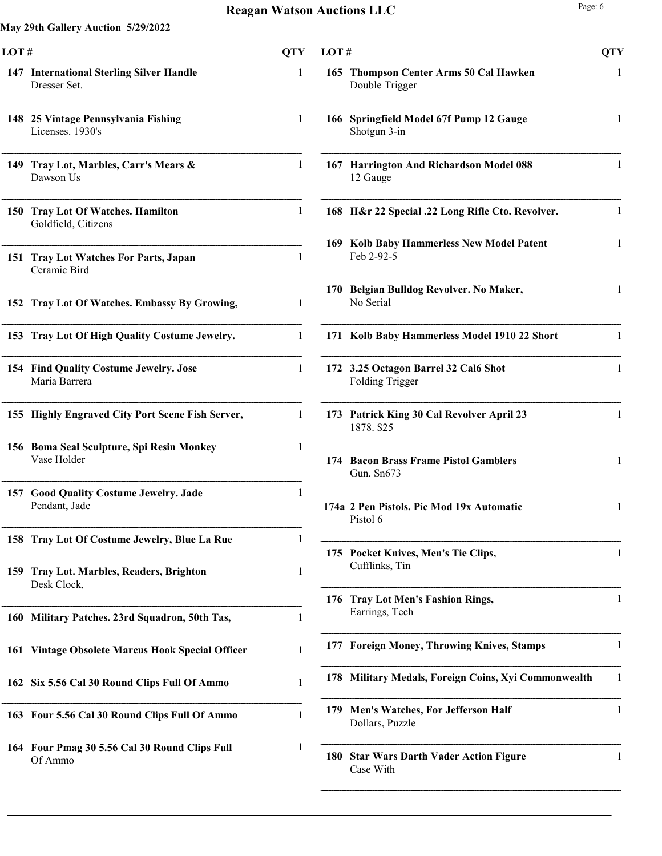| LOT# |                                                            | <b>OTY</b> |
|------|------------------------------------------------------------|------------|
|      | 147 International Sterling Silver Handle<br>Dresser Set.   | 1          |
|      | 148 25 Vintage Pennsylvania Fishing<br>Licenses. 1930's    | 1          |
| 149  | Tray Lot, Marbles, Carr's Mears &<br>Dawson Us             | 1          |
|      | 150 Tray Lot Of Watches. Hamilton<br>Goldfield, Citizens   | 1          |
| 151  | <b>Tray Lot Watches For Parts, Japan</b><br>Ceramic Bird   | 1          |
| 152  | Tray Lot Of Watches. Embassy By Growing,                   | 1          |
| 153  | Tray Lot Of High Quality Costume Jewelry.                  | 1          |
|      | 154 Find Quality Costume Jewelry. Jose<br>Maria Barrera    | 1          |
|      | 155 Highly Engraved City Port Scene Fish Server,           | 1          |
|      | 156 Boma Seal Sculpture, Spi Resin Monkey<br>Vase Holder   | 1          |
|      | 157 Good Quality Costume Jewelry. Jade<br>Pendant, Jade    | 1          |
| 158  | Tray Lot Of Costume Jewelry, Blue La Rue                   | 1          |
| 159  | <b>Tray Lot. Marbles, Readers, Brighton</b><br>Desk Clock, | 1          |
| 160  | Military Patches. 23rd Squadron, 50th Tas,                 | 1          |
| 161  | <b>Vintage Obsolete Marcus Hook Special Officer</b>        | 1          |
| 162  | Six 5.56 Cal 30 Round Clips Full Of Ammo                   | 1          |
|      | 163 Four 5.56 Cal 30 Round Clips Full Of Ammo              | 1          |
|      | 164 Four Pmag 30 5.56 Cal 30 Round Clips Full<br>Of Ammo   | 1          |

| LOT # |                                                                | <b>QTY</b> |
|-------|----------------------------------------------------------------|------------|
| 165   | <b>Thompson Center Arms 50 Cal Hawken</b><br>Double Trigger    | 1          |
| 166   | Springfield Model 67f Pump 12 Gauge<br>Shotgun 3-in            | 1          |
| 167   | <b>Harrington And Richardson Model 088</b><br>12 Gauge         | 1          |
|       | 168 H&r 22 Special .22 Long Rifle Cto. Revolver.               | 1          |
|       | 169 Kolb Baby Hammerless New Model Patent<br>Feb 2-92-5        | 1          |
| 170   | Belgian Bulldog Revolver. No Maker,<br>No Serial               | 1          |
| 171   | Kolb Baby Hammerless Model 1910 22 Short                       | 1          |
|       | 172 3.25 Octagon Barrel 32 Cal6 Shot<br><b>Folding Trigger</b> | 1          |
| 173   | Patrick King 30 Cal Revolver April 23<br>1878. \$25            | 1          |
| 174   | <b>Bacon Brass Frame Pistol Gamblers</b><br>Gun. Sn673         | 1          |
|       | 174a 2 Pen Pistols. Pic Mod 19x Automatic<br>Pistol 6          | 1          |
| 175   | Pocket Knives, Men's Tie Clips,<br>Cufflinks, Tin              | 1          |
| 176   | <b>Tray Lot Men's Fashion Rings,</b><br>Earrings, Tech         | 1          |
| 177   | <b>Foreign Money, Throwing Knives, Stamps</b>                  | 1          |
| 178   | Military Medals, Foreign Coins, Xyi Commonwealth               | 1          |
| 179   | Men's Watches, For Jefferson Half<br>Dollars, Puzzle           | 1          |
| 180   | <b>Star Wars Darth Vader Action Figure</b><br>Case With        | 1          |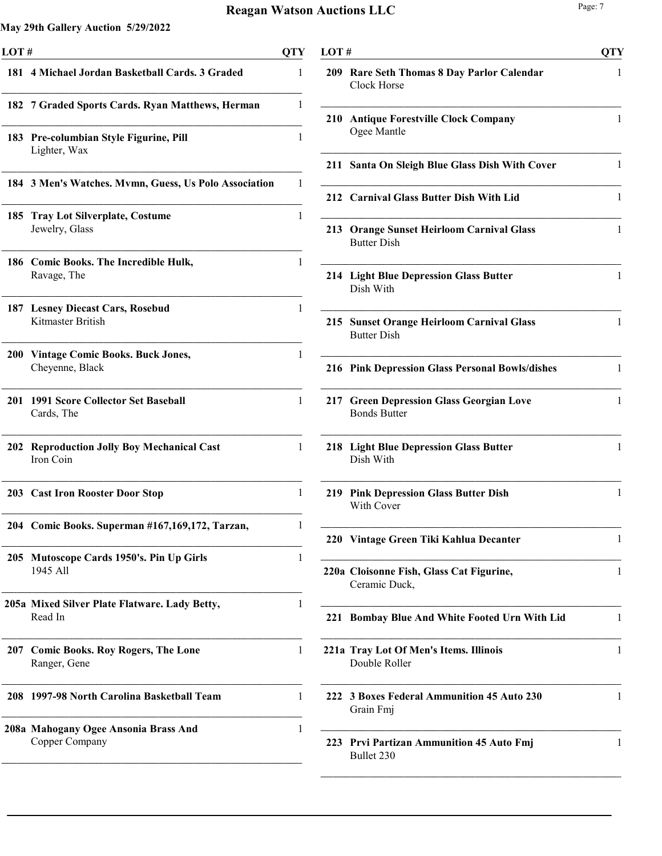| LOT#       |                                                            | <b>QTY</b> |
|------------|------------------------------------------------------------|------------|
|            | 181 4 Michael Jordan Basketball Cards. 3 Graded            | 1          |
|            | 182 7 Graded Sports Cards. Ryan Matthews, Herman           | 1          |
|            | 183 Pre-columbian Style Figurine, Pill<br>Lighter, Wax     | 1          |
|            | 184 3 Men's Watches. Mvmn, Guess, Us Polo Association      | 1          |
| 185        | <b>Tray Lot Silverplate, Costume</b><br>Jewelry, Glass     | 1          |
|            | 186 Comic Books. The Incredible Hulk,<br>Ravage, The       | 1          |
|            | 187 Lesney Diecast Cars, Rosebud<br>Kitmaster British      | 1          |
| <b>200</b> | <b>Vintage Comic Books. Buck Jones,</b><br>Cheyenne, Black | 1          |
| 201        | <b>1991 Score Collector Set Baseball</b><br>Cards, The     | 1          |
| 202        | <b>Reproduction Jolly Boy Mechanical Cast</b><br>Iron Coin | 1          |
|            | 203 Cast Iron Rooster Door Stop                            | 1          |
|            | 204 Comic Books. Superman #167,169,172, Tarzan,            |            |
|            | 205 Mutoscope Cards 1950's. Pin Up Girls<br>1945 All       | 1          |
|            | 205a Mixed Silver Plate Flatware. Lady Betty,<br>Read In   | 1          |
|            | 207 Comic Books. Roy Rogers, The Lone<br>Ranger, Gene      | 1          |
|            | 208 1997-98 North Carolina Basketball Team                 | 1          |
|            | 208a Mahogany Ogee Ansonia Brass And<br>Copper Company     | 1          |
|            |                                                            |            |

| LOT# |                                                                 | <b>QTY</b>   |
|------|-----------------------------------------------------------------|--------------|
|      | 209 Rare Seth Thomas 8 Day Parlor Calendar<br>Clock Horse       | 1            |
| 210  | <b>Antique Forestville Clock Company</b><br>Ogee Mantle         | 1            |
|      | 211 Santa On Sleigh Blue Glass Dish With Cover                  | 1            |
|      | 212 Carnival Glass Butter Dish With Lid                         | 1            |
|      | 213 Orange Sunset Heirloom Carnival Glass<br><b>Butter Dish</b> | 1            |
|      | 214 Light Blue Depression Glass Butter<br>Dish With             | 1            |
|      | 215 Sunset Orange Heirloom Carnival Glass<br><b>Butter Dish</b> | 1            |
|      | 216 Pink Depression Glass Personal Bowls/dishes                 | 1            |
|      | 217 Green Depression Glass Georgian Love<br><b>Bonds Butter</b> | 1            |
|      | 218 Light Blue Depression Glass Butter<br>Dish With             | $\mathbf{1}$ |
|      | 219 Pink Depression Glass Butter Dish<br>With Cover             | 1            |
|      | 220 Vintage Green Tiki Kahlua Decanter                          | 1            |
|      | 220a Cloisonne Fish, Glass Cat Figurine,<br>Ceramic Duck,       | 1            |
| 221  | Bombay Blue And White Footed Urn With Lid                       | 1            |
|      | 221a Tray Lot Of Men's Items. Illinois<br>Double Roller         | 1            |
| 222  | <b>3 Boxes Federal Ammunition 45 Auto 230</b><br>Grain Fmj      | 1            |
|      | 223 Prvi Partizan Ammunition 45 Auto Fmj<br>Bullet 230          | 1            |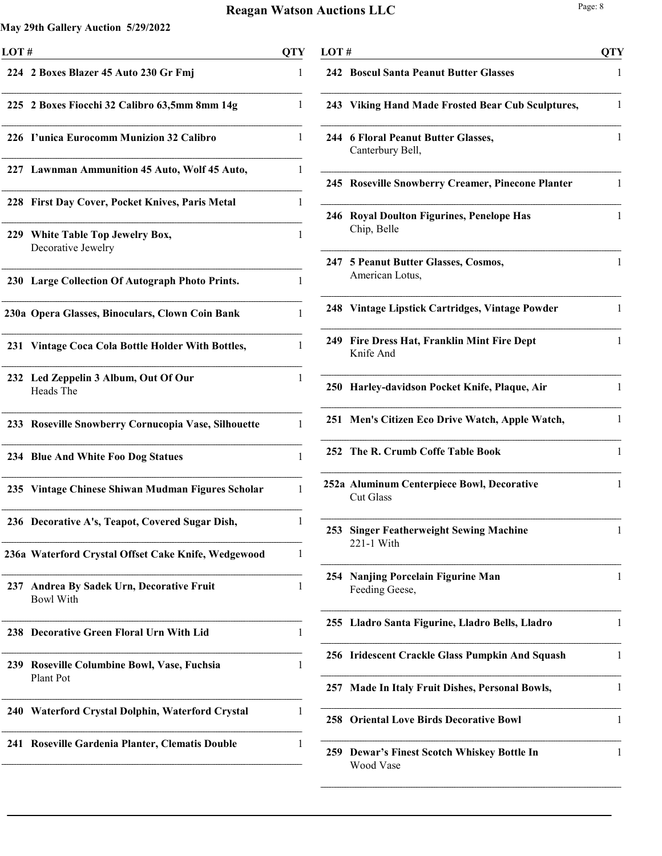| LOT# |                                                           | <b>QTY</b>   |
|------|-----------------------------------------------------------|--------------|
|      | 224 2 Boxes Blazer 45 Auto 230 Gr Fmj                     | 1            |
|      | 225 2 Boxes Fiocchi 32 Calibro 63,5mm 8mm 14g             | 1            |
|      | 226 I'unica Eurocomm Munizion 32 Calibro                  | 1            |
|      | 227 Lawnman Ammunition 45 Auto, Wolf 45 Auto,             | 1            |
|      | 228 First Day Cover, Pocket Knives, Paris Metal           | 1            |
| 229  | White Table Top Jewelry Box,<br>Decorative Jewelry        | 1            |
|      | 230 Large Collection Of Autograph Photo Prints.           | 1            |
|      | 230a Opera Glasses, Binoculars, Clown Coin Bank           | 1            |
|      | 231 Vintage Coca Cola Bottle Holder With Bottles,         | 1            |
|      | 232 Led Zeppelin 3 Album, Out Of Our<br>Heads The         | 1            |
|      | 233 Roseville Snowberry Cornucopia Vase, Silhouette       | 1            |
|      | 234 Blue And White Foo Dog Statues                        | $\mathbf{1}$ |
|      | 235 Vintage Chinese Shiwan Mudman Figures Scholar         | 1            |
|      | 236 Decorative A's, Teapot, Covered Sugar Dish,           | 1            |
|      | 236a Waterford Crystal Offset Cake Knife, Wedgewood       | 1            |
| 237  | Andrea By Sadek Urn, Decorative Fruit<br><b>Bowl With</b> | 1            |
|      | 238 Decorative Green Floral Urn With Lid                  | 1            |
| 239  | Roseville Columbine Bowl, Vase, Fuchsia<br>Plant Pot      | 1            |
|      | 240 Waterford Crystal Dolphin, Waterford Crystal          | 1            |
| 241  | <b>Roseville Gardenia Planter, Clematis Double</b>        | 1            |
|      |                                                           |              |

|     | LOT#                                                           |   |  |
|-----|----------------------------------------------------------------|---|--|
|     | <b>242 Boscul Santa Peanut Butter Glasses</b>                  | 1 |  |
|     | 243 Viking Hand Made Frosted Bear Cub Sculptures,              | 1 |  |
|     | 244 6 Floral Peanut Butter Glasses,<br>Canterbury Bell,        | 1 |  |
|     | 245 Roseville Snowberry Creamer, Pinecone Planter              | 1 |  |
|     | 246 Royal Doulton Figurines, Penelope Has<br>Chip, Belle       | 1 |  |
| 247 | <b>5 Peanut Butter Glasses, Cosmos,</b><br>American Lotus,     | 1 |  |
|     | 248 Vintage Lipstick Cartridges, Vintage Powder                | 1 |  |
| 249 | <b>Fire Dress Hat, Franklin Mint Fire Dept</b><br>Knife And    | 1 |  |
|     | 250 Harley-davidson Pocket Knife, Plaque, Air                  | 1 |  |
| 251 | Men's Citizen Eco Drive Watch, Apple Watch,                    | 1 |  |
| 252 | The R. Crumb Coffe Table Book                                  | 1 |  |
|     | 252a Aluminum Centerpiece Bowl, Decorative<br><b>Cut Glass</b> | 1 |  |
|     | 253 Singer Featherweight Sewing Machine<br>221-1 With          |   |  |
|     | 254 Nanjing Porcelain Figurine Man<br>Feeding Geese,           | 1 |  |
|     | 255 Lladro Santa Figurine, Lladro Bells, Lladro                | 1 |  |
|     | 256 Iridescent Crackle Glass Pumpkin And Squash                | 1 |  |
| 257 | <b>Made In Italy Fruit Dishes, Personal Bowls,</b>             | 1 |  |
| 258 | <b>Oriental Love Birds Decorative Bowl</b>                     | 1 |  |
| 259 | Dewar's Finest Scotch Whiskey Bottle In<br>Wood Vase           | 1 |  |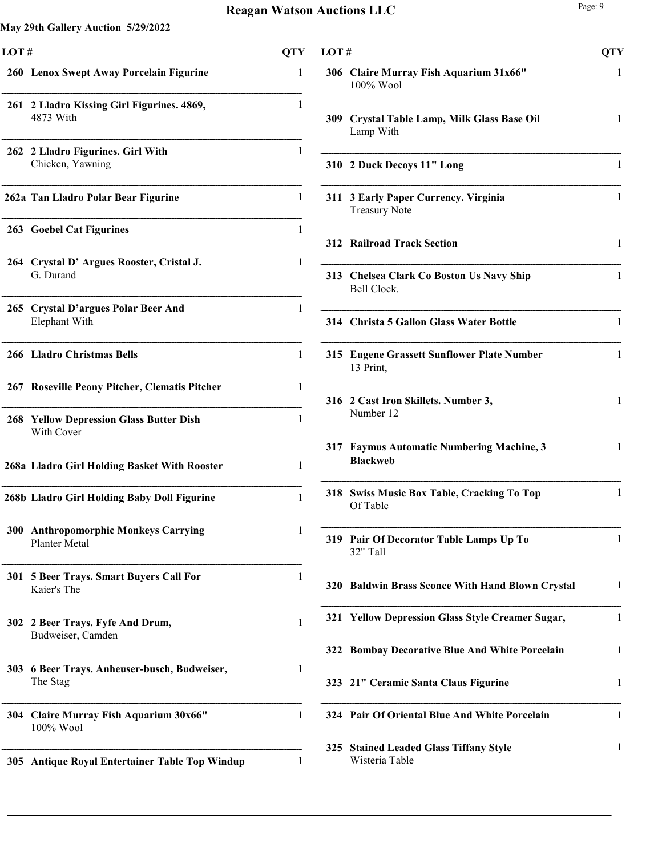| LOT#       |                                                              |   |  |
|------------|--------------------------------------------------------------|---|--|
|            | 260 Lenox Swept Away Porcelain Figurine                      | 1 |  |
| 261        | 2 Lladro Kissing Girl Figurines. 4869,<br>4873 With          | 1 |  |
|            | 262 2 Lladro Figurines. Girl With<br>Chicken, Yawning        | 1 |  |
|            | 262a Tan Lladro Polar Bear Figurine                          | 1 |  |
|            | 263 Goebel Cat Figurines                                     | 1 |  |
|            | 264 Crystal D' Argues Rooster, Cristal J.<br>G. Durand       | 1 |  |
|            | 265 Crystal D'argues Polar Beer And<br>Elephant With         | 1 |  |
|            | 266 Lladro Christmas Bells                                   | 1 |  |
|            | 267 Roseville Peony Pitcher, Clematis Pitcher                | 1 |  |
|            | <b>268 Yellow Depression Glass Butter Dish</b><br>With Cover | 1 |  |
|            | 268a Lladro Girl Holding Basket With Rooster                 | 1 |  |
|            | 268b Lladro Girl Holding Baby Doll Figurine                  | 1 |  |
|            | 300 Anthropomorphic Monkeys Carrying<br>Planter Metal        | 1 |  |
| <b>301</b> | <b>5 Beer Trays. Smart Buyers Call For</b><br>Kaier's The    | 1 |  |
|            | 302 2 Beer Trays. Fyfe And Drum,<br>Budweiser, Camden        | 1 |  |
|            | 303 6 Beer Trays. Anheuser-busch, Budweiser,<br>The Stag     | 1 |  |
|            | 304 Claire Murray Fish Aquarium 30x66"<br>100% Wool          | 1 |  |
| 305 I      | <b>Antique Royal Entertainer Table Top Windup</b>            | 1 |  |
|            |                                                              |   |  |

| LOT# |                                                                 | <b>QTY</b>   |
|------|-----------------------------------------------------------------|--------------|
|      | 306 Claire Murray Fish Aquarium 31x66"<br>$100\%$ Wool          | 1            |
|      | 309 Crystal Table Lamp, Milk Glass Base Oil<br>Lamp With        | 1            |
| 310  | 2 Duck Decoys 11" Long                                          | 1            |
| 311  | 3 Early Paper Currency. Virginia<br><b>Treasury Note</b>        | 1            |
|      | <b>312 Railroad Track Section</b>                               | 1            |
|      | 313 Chelsea Clark Co Boston Us Navy Ship<br>Bell Clock.         | 1            |
|      | 314 Christa 5 Gallon Glass Water Bottle                         | 1            |
|      | 315 Eugene Grassett Sunflower Plate Number<br>13 Print,         | 1            |
| 316  | 2 Cast Iron Skillets. Number 3,<br>Number 12                    | 1            |
| 317  | <b>Faymus Automatic Numbering Machine, 3</b><br><b>Blackweb</b> | $\mathbf{1}$ |
|      | 318 Swiss Music Box Table, Cracking To Top<br>Of Table          | 1            |
|      | 319 Pair Of Decorator Table Lamps Up To<br>32" Tall             | 1            |
|      | 320 Baldwin Brass Sconce With Hand Blown Crystal                | 1            |
| 321  | <b>Yellow Depression Glass Style Creamer Sugar,</b>             | 1            |
| 322  | <b>Bombay Decorative Blue And White Porcelain</b>               | 1            |
|      | 323 21" Ceramic Santa Claus Figurine                            | 1            |
|      | 324 Pair Of Oriental Blue And White Porcelain                   | 1            |
| 325  | <b>Stained Leaded Glass Tiffany Style</b><br>Wisteria Table     | 1            |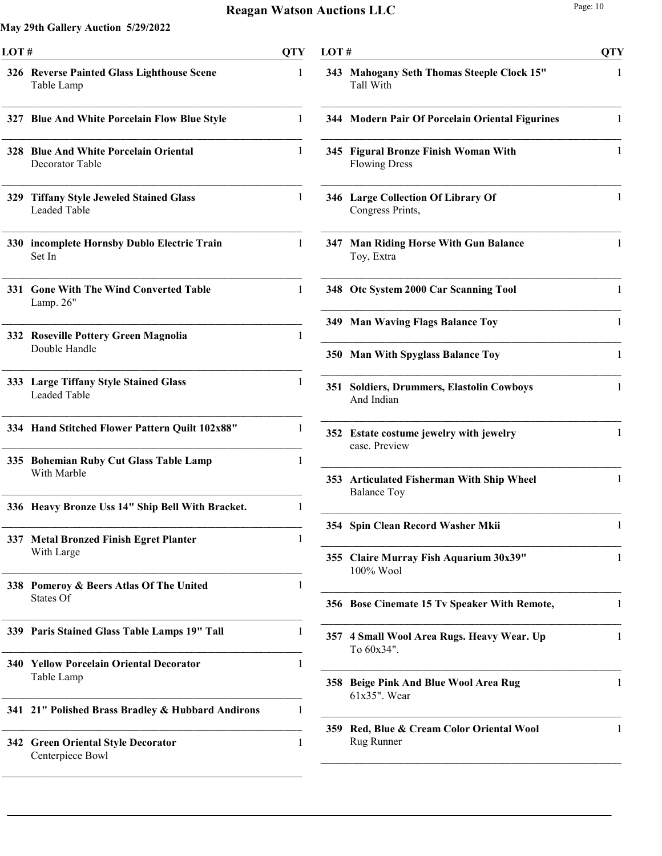| LOT#       |                                                                 | QTY |
|------------|-----------------------------------------------------------------|-----|
|            | 326 Reverse Painted Glass Lighthouse Scene<br>Table Lamp        | 1   |
|            | 327 Blue And White Porcelain Flow Blue Style                    | 1   |
|            | 328 Blue And White Porcelain Oriental<br>Decorator Table        | 1   |
| 329        | <b>Tiffany Style Jeweled Stained Glass</b><br>Leaded Table      | 1   |
|            | 330 incomplete Hornsby Dublo Electric Train<br>Set In           | 1   |
| 331        | <b>Gone With The Wind Converted Table</b><br>Lamp. 26"          | 1   |
|            | 332 Roseville Pottery Green Magnolia<br>Double Handle           | 1   |
| <b>333</b> | <b>Large Tiffany Style Stained Glass</b><br><b>Leaded Table</b> | 1   |
|            | 334 Hand Stitched Flower Pattern Quilt 102x88"                  | 1   |
|            | 335 Bohemian Ruby Cut Glass Table Lamp<br>With Marble           | 1   |
|            | 336 Heavy Bronze Uss 14" Ship Bell With Bracket.                | 1   |
|            | 337 Metal Bronzed Finish Egret Planter<br>With Large            | 1   |
| 338        | Pomeroy & Beers Atlas Of The United<br>States Of                | 1   |
|            | 339 Paris Stained Glass Table Lamps 19" Tall                    | 1   |
| <b>340</b> | <b>Yellow Porcelain Oriental Decorator</b><br>Table Lamp        | 1   |
| 341        | 21" Polished Brass Bradley & Hubbard Andirons                   | 1   |
|            | 342 Green Oriental Style Decorator<br>Centerpiece Bowl          | 1   |

| LOT# |                                                                    |   |  |
|------|--------------------------------------------------------------------|---|--|
|      | 343 Mahogany Seth Thomas Steeple Clock 15"<br>Tall With            | 1 |  |
|      | 344 Modern Pair Of Porcelain Oriental Figurines                    | 1 |  |
|      | 345 Figural Bronze Finish Woman With<br><b>Flowing Dress</b>       | 1 |  |
|      | 346 Large Collection Of Library Of<br>Congress Prints,             | 1 |  |
| 347  | <b>Man Riding Horse With Gun Balance</b><br>Toy, Extra             | 1 |  |
|      | 348 Otc System 2000 Car Scanning Tool                              | 1 |  |
|      | 349 Man Waving Flags Balance Toy                                   | 1 |  |
| 350  | <b>Man With Spyglass Balance Toy</b>                               | 1 |  |
| 351  | <b>Soldiers, Drummers, Elastolin Cowboys</b><br>And Indian         | 1 |  |
|      | 352 Estate costume jewelry with jewelry<br>case. Preview           | 1 |  |
| 353  | <b>Articulated Fisherman With Ship Wheel</b><br><b>Balance Toy</b> | 1 |  |
| 354  | Spin Clean Record Washer Mkii                                      | 1 |  |
| 355  | <b>Claire Murray Fish Aquarium 30x39"</b><br>$100\%$ Wool          | 1 |  |
|      | 356 Bose Cinemate 15 Tv Speaker With Remote,                       | 1 |  |
| 357  | 4 Small Wool Area Rugs. Heavy Wear. Up<br>To 60x34".               | 1 |  |
| 358  | <b>Beige Pink And Blue Wool Area Rug</b><br>61x35". Wear           | 1 |  |
| 359  | Red, Blue & Cream Color Oriental Wool<br>Rug Runner                | 1 |  |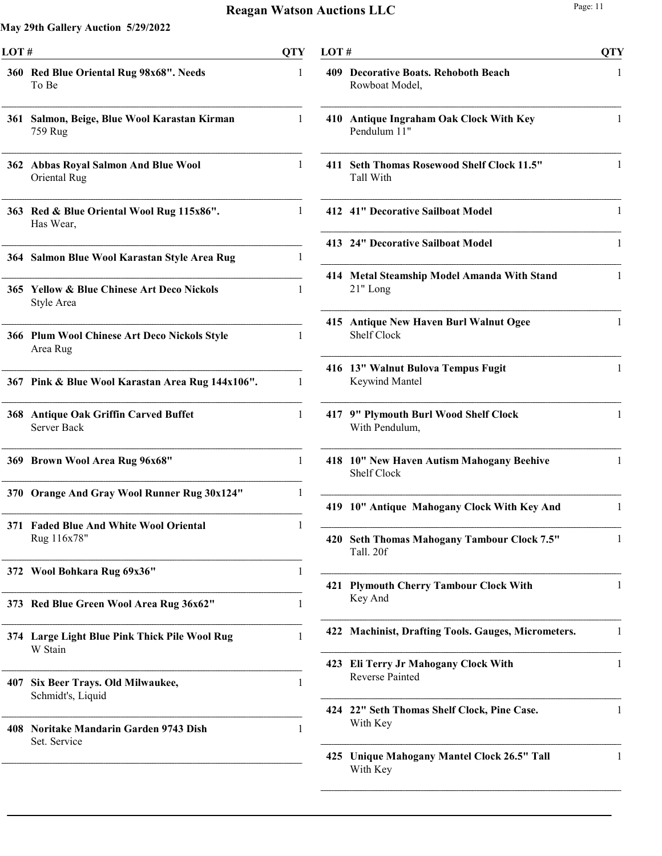| 360 Red Blue Oriental Rug 98x68". Needs<br>To Be    | 1                                                                                                                                                                                                                                                                                                                                                                                                                                                                                                                                                                                                                           |
|-----------------------------------------------------|-----------------------------------------------------------------------------------------------------------------------------------------------------------------------------------------------------------------------------------------------------------------------------------------------------------------------------------------------------------------------------------------------------------------------------------------------------------------------------------------------------------------------------------------------------------------------------------------------------------------------------|
| Salmon, Beige, Blue Wool Karastan Kirman<br>759 Rug | 1                                                                                                                                                                                                                                                                                                                                                                                                                                                                                                                                                                                                                           |
| Oriental Rug                                        | $\mathbf{1}$                                                                                                                                                                                                                                                                                                                                                                                                                                                                                                                                                                                                                |
| Has Wear,                                           | 1                                                                                                                                                                                                                                                                                                                                                                                                                                                                                                                                                                                                                           |
|                                                     | 1                                                                                                                                                                                                                                                                                                                                                                                                                                                                                                                                                                                                                           |
| Style Area                                          | 1                                                                                                                                                                                                                                                                                                                                                                                                                                                                                                                                                                                                                           |
| Area Rug                                            | 1                                                                                                                                                                                                                                                                                                                                                                                                                                                                                                                                                                                                                           |
|                                                     | 1                                                                                                                                                                                                                                                                                                                                                                                                                                                                                                                                                                                                                           |
| Server Back                                         | 1                                                                                                                                                                                                                                                                                                                                                                                                                                                                                                                                                                                                                           |
|                                                     | 1                                                                                                                                                                                                                                                                                                                                                                                                                                                                                                                                                                                                                           |
|                                                     | 1                                                                                                                                                                                                                                                                                                                                                                                                                                                                                                                                                                                                                           |
| Rug 116x78"                                         | L                                                                                                                                                                                                                                                                                                                                                                                                                                                                                                                                                                                                                           |
|                                                     | 1                                                                                                                                                                                                                                                                                                                                                                                                                                                                                                                                                                                                                           |
|                                                     | 1                                                                                                                                                                                                                                                                                                                                                                                                                                                                                                                                                                                                                           |
| W Stain                                             | 1                                                                                                                                                                                                                                                                                                                                                                                                                                                                                                                                                                                                                           |
| Six Beer Trays. Old Milwaukee,<br>Schmidt's, Liquid | $\mathbf{1}$                                                                                                                                                                                                                                                                                                                                                                                                                                                                                                                                                                                                                |
| Set. Service                                        | 1                                                                                                                                                                                                                                                                                                                                                                                                                                                                                                                                                                                                                           |
|                                                     | 362 Abbas Royal Salmon And Blue Wool<br>363 Red & Blue Oriental Wool Rug 115x86".<br>364 Salmon Blue Wool Karastan Style Area Rug<br>365 Yellow & Blue Chinese Art Deco Nickols<br>366 Plum Wool Chinese Art Deco Nickols Style<br>367 Pink & Blue Wool Karastan Area Rug 144x106".<br>368 Antique Oak Griffin Carved Buffet<br>369 Brown Wool Area Rug 96x68"<br>370 Orange And Gray Wool Runner Rug 30x124"<br><b>Faded Blue And White Wool Oriental</b><br>372 Wool Bohkara Rug 69x36"<br>373 Red Blue Green Wool Area Rug 36x62"<br>374 Large Light Blue Pink Thick Pile Wool Rug<br>Noritake Mandarin Garden 9743 Dish |

| LOT# |                                                              |   |  |
|------|--------------------------------------------------------------|---|--|
|      | 409 Decorative Boats. Rehoboth Beach<br>Rowboat Model,       | 1 |  |
| 410  | <b>Antique Ingraham Oak Clock With Key</b><br>Pendulum 11"   | 1 |  |
|      | 411 Seth Thomas Rosewood Shelf Clock 11.5"<br>Tall With      | 1 |  |
|      | 412 41" Decorative Sailboat Model                            | 1 |  |
|      | 413 24" Decorative Sailboat Model                            | 1 |  |
|      | 414 Metal Steamship Model Amanda With Stand<br>$21"$ Long    | 1 |  |
|      | 415 Antique New Haven Burl Walnut Ogee<br><b>Shelf Clock</b> | 1 |  |
|      | 416 13" Walnut Bulova Tempus Fugit<br>Keywind Mantel         | 1 |  |
|      | 417 9" Plymouth Burl Wood Shelf Clock<br>With Pendulum,      | 1 |  |
|      | 418 10" New Haven Autism Mahogany Beehive<br>Shelf Clock     | 1 |  |
|      | 419 10" Antique Mahogany Clock With Key And                  | 1 |  |
|      | 420 Seth Thomas Mahogany Tambour Clock 7.5"<br>Tall. 20f     | 1 |  |
| 421  | <b>Plymouth Cherry Tambour Clock With</b><br>Key And         | 1 |  |
|      | 422 Machinist, Drafting Tools. Gauges, Micrometers.          | 1 |  |
| 423  | Eli Terry Jr Mahogany Clock With<br><b>Reverse Painted</b>   | 1 |  |
| 424  | 22" Seth Thomas Shelf Clock, Pine Case.<br>With Key          | 1 |  |
| 425  | Unique Mahogany Mantel Clock 26.5" Tall<br>With Key          | 1 |  |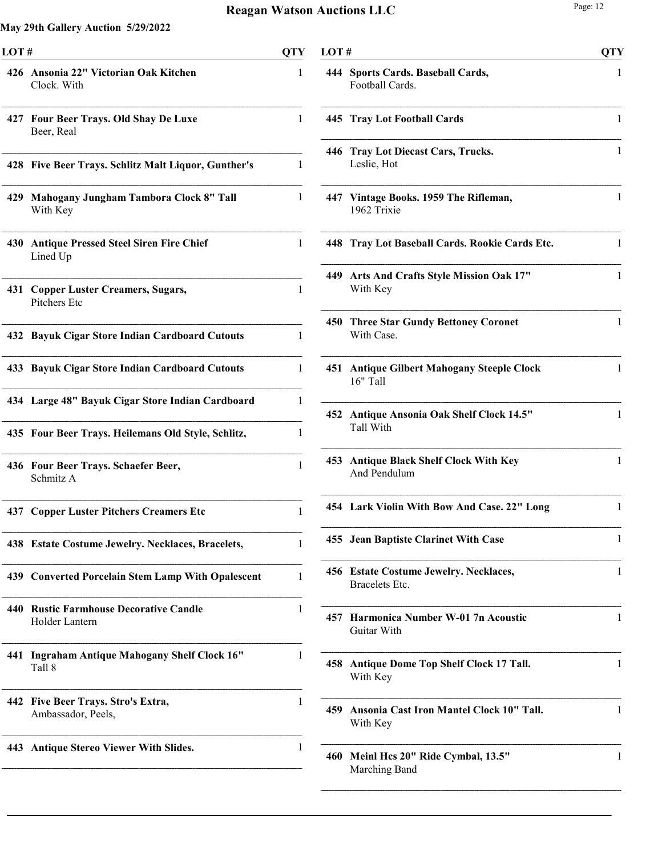| LOT# |                                                          | <b>QTY</b>   | LOT# |                                                          | <b>QTY</b> |
|------|----------------------------------------------------------|--------------|------|----------------------------------------------------------|------------|
|      | 426 Ansonia 22" Victorian Oak Kitchen<br>Clock. With     | 1            |      | 444 Sports Cards. Baseball Cards,<br>Football Cards.     | 1          |
|      | 427 Four Beer Trays. Old Shay De Luxe<br>Beer, Real      | 1            |      | 445 Tray Lot Football Cards                              | 1          |
|      | 428 Five Beer Trays. Schlitz Malt Liquor, Gunther's      | 1            |      | 446 Tray Lot Diecast Cars, Trucks.<br>Leslie, Hot        | 1          |
|      | 429 Mahogany Jungham Tambora Clock 8" Tall<br>With Key   | 1            |      | 447 Vintage Books. 1959 The Rifleman,<br>1962 Trixie     | 1          |
|      | 430 Antique Pressed Steel Siren Fire Chief<br>Lined Up   | 1            |      | 448 Tray Lot Baseball Cards. Rookie Cards Etc.           |            |
|      | 431 Copper Luster Creamers, Sugars,<br>Pitchers Etc      | $\mathbf{1}$ |      | 449 Arts And Crafts Style Mission Oak 17"<br>With Key    | 1          |
|      | 432 Bayuk Cigar Store Indian Cardboard Cutouts           | 1            |      | 450 Three Star Gundy Bettoney Coronet<br>With Case.      |            |
|      | 433 Bayuk Cigar Store Indian Cardboard Cutouts           | 1            |      | 451 Antique Gilbert Mahogany Steeple Clock<br>16" Tall   |            |
|      | 434 Large 48" Bayuk Cigar Store Indian Cardboard         | 1            |      | 452 Antique Ansonia Oak Shelf Clock 14.5"                |            |
|      | 435 Four Beer Trays. Heilemans Old Style, Schlitz,       | 1            |      | Tall With                                                |            |
|      | 436 Four Beer Trays. Schaefer Beer,<br>Schmitz A         | 1            |      | 453 Antique Black Shelf Clock With Key<br>And Pendulum   |            |
|      | <b>437 Copper Luster Pitchers Creamers Etc</b>           | 1            |      | 454 Lark Violin With Bow And Case. 22" Long              |            |
|      | 438 Estate Costume Jewelry. Necklaces, Bracelets,        | 1            |      | 455 Jean Baptiste Clarinet With Case                     |            |
|      | 439 Converted Porcelain Stem Lamp With Opalescent        | 1            |      | 456 Estate Costume Jewelry. Necklaces,<br>Bracelets Etc. |            |
|      | 440 Rustic Farmhouse Decorative Candle<br>Holder Lantern |              |      | 457 Harmonica Number W-01 7n Acoustic<br>Guitar With     |            |
|      | 441 Ingraham Antique Mahogany Shelf Clock 16"<br>Tall 8  |              |      | 458 Antique Dome Top Shelf Clock 17 Tall.<br>With Key    |            |
|      | 442 Five Beer Trays. Stro's Extra,<br>Ambassador, Peels, |              |      | 459 Ansonia Cast Iron Mantel Clock 10" Tall.<br>With Key |            |
|      | 443 Antique Stereo Viewer With Slides.                   |              |      | 460 Meinl Hcs 20" Ride Cymbal, 13.5"<br>Marching Band    |            |

| 444 | Sports Cards. Baseball Cards,<br>Football Cards.            | 1 |
|-----|-------------------------------------------------------------|---|
|     | 445 Tray Lot Football Cards                                 | 1 |
| 446 | <b>Tray Lot Diecast Cars, Trucks.</b><br>Leslie, Hot        | 1 |
|     | 447 Vintage Books. 1959 The Rifleman,<br>1962 Trixie        | 1 |
|     | 448 Tray Lot Baseball Cards. Rookie Cards Etc.              | 1 |
| 449 | Arts And Crafts Style Mission Oak 17"<br>With Key           | 1 |
| 450 | <b>Three Star Gundy Bettoney Coronet</b><br>With Case.      | 1 |
| 451 | <b>Antique Gilbert Mahogany Steeple Clock</b><br>16" Tall   | 1 |
| 452 | <b>Antique Ansonia Oak Shelf Clock 14.5"</b><br>Tall With   | 1 |
| 453 | <b>Antique Black Shelf Clock With Key</b><br>And Pendulum   | 1 |
|     | 454 Lark Violin With Bow And Case. 22" Long                 | 1 |
|     | 455 Jean Baptiste Clarinet With Case                        | 1 |
| 456 | <b>Estate Costume Jewelry. Necklaces,</b><br>Bracelets Etc. | 1 |
| 457 | Harmonica Number W-01 7n Acoustic<br>Guitar With            | 1 |
| 458 | <b>Antique Dome Top Shelf Clock 17 Tall.</b><br>With Key    | 1 |
| 459 | Ansonia Cast Iron Mantel Clock 10" Tall.<br>With Key        | 1 |
| 460 | Meinl Hcs 20" Ride Cymbal, 13.5"<br>Marching Band           | 1 |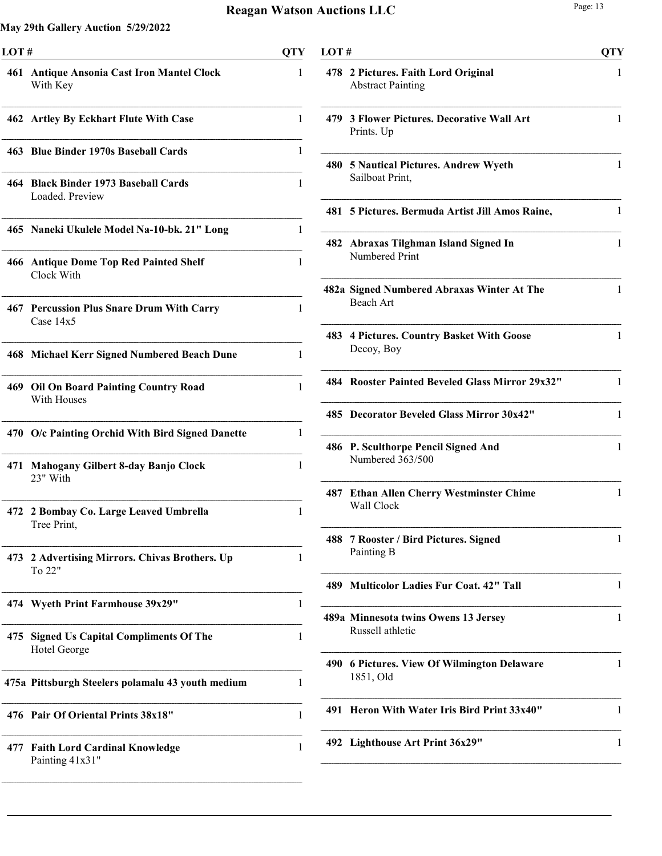| LOT# |                                                             | QTY |
|------|-------------------------------------------------------------|-----|
|      | 461 Antique Ansonia Cast Iron Mantel Clock<br>With Key      | 1   |
|      | 462 Artley By Eckhart Flute With Case                       | 1   |
|      | 463 Blue Binder 1970s Baseball Cards                        | 1   |
|      | 464 Black Binder 1973 Baseball Cards<br>Loaded. Preview     | 1   |
|      | 465 Naneki Ukulele Model Na-10-bk. 21" Long                 | 1   |
|      | 466 Antique Dome Top Red Painted Shelf<br>Clock With        | 1   |
|      | 467 Percussion Plus Snare Drum With Carry<br>Case $14x5$    | 1   |
|      | 468 Michael Kerr Signed Numbered Beach Dune                 | 1   |
|      | 469 Oil On Board Painting Country Road<br>With Houses       | 1   |
|      | 470 O/c Painting Orchid With Bird Signed Danette            | 1   |
| 471  | <b>Mahogany Gilbert 8-day Banjo Clock</b><br>23" With       | 1   |
| 472  | 2 Bombay Co. Large Leaved Umbrella<br>Tree Print,           | 1   |
|      | 473 2 Advertising Mirrors. Chivas Brothers. Up<br>To 22"    | 1   |
|      | 474 Wyeth Print Farmhouse 39x29"                            | 1   |
| 475  | <b>Signed Us Capital Compliments Of The</b><br>Hotel George | 1   |
|      | 475a Pittsburgh Steelers polamalu 43 youth medium           | 1   |
|      | 476 Pair Of Oriental Prints 38x18"                          | 1   |
| 477  | <b>Faith Lord Cardinal Knowledge</b><br>Painting 41x31"     | 1   |

| LOT# |                                                                 | <b>QTY</b>   |
|------|-----------------------------------------------------------------|--------------|
|      | 478 2 Pictures. Faith Lord Original<br><b>Abstract Painting</b> | 1            |
|      | 479 3 Flower Pictures. Decorative Wall Art<br>Prints. Up        | 1            |
|      | 480 5 Nautical Pictures. Andrew Wyeth<br>Sailboat Print,        | 1            |
|      | 481 5 Pictures. Bermuda Artist Jill Amos Raine,                 | 1            |
|      | 482 Abraxas Tilghman Island Signed In<br>Numbered Print         | 1            |
|      | 482a Signed Numbered Abraxas Winter At The<br>Beach Art         | 1            |
|      | 483 4 Pictures. Country Basket With Goose<br>Decoy, Boy         | 1            |
|      | 484 Rooster Painted Beveled Glass Mirror 29x32"                 | 1            |
|      | 485 Decorator Beveled Glass Mirror 30x42"                       | 1            |
|      | 486 P. Sculthorpe Pencil Signed And<br>Numbered 363/500         | $\mathbf{1}$ |
|      | 487 Ethan Allen Cherry Westminster Chime<br>Wall Clock          | 1            |
| 488  | 7 Rooster / Bird Pictures. Signed<br>Painting B                 | 1            |
|      | 489 Multicolor Ladies Fur Coat. 42" Tall                        | 1            |
|      | 489a Minnesota twins Owens 13 Jersey<br>Russell athletic        | 1            |
|      | 490 6 Pictures. View Of Wilmington Delaware<br>1851, Old        | 1            |
| 491  | Heron With Water Iris Bird Print 33x40"                         | 1            |
|      | 492 Lighthouse Art Print 36x29"                                 | 1            |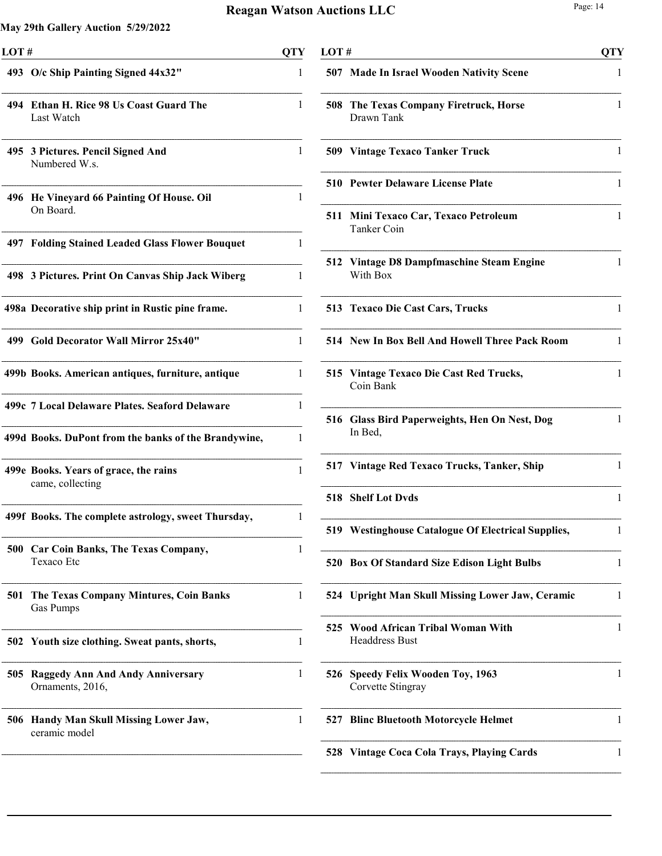| LOT# |                                                             | <b>QTY</b> |
|------|-------------------------------------------------------------|------------|
|      | 493 O/c Ship Painting Signed 44x32"                         | 1          |
| 494  | Ethan H. Rice 98 Us Coast Guard The<br>Last Watch           | 1          |
|      | 495 3 Pictures. Pencil Signed And<br>Numbered W.s.          | 1          |
|      | 496 He Vineyard 66 Painting Of House. Oil<br>On Board.      | 1          |
|      | 497 Folding Stained Leaded Glass Flower Bouquet             | 1          |
|      | 498 3 Pictures. Print On Canvas Ship Jack Wiberg            | 1          |
|      | 498a Decorative ship print in Rustic pine frame.            | 1          |
|      | 499 Gold Decorator Wall Mirror 25x40"                       | 1          |
|      | 499b Books. American antiques, furniture, antique           | 1          |
|      | 499c 7 Local Delaware Plates. Seaford Delaware              | 1          |
|      | 499d Books. DuPont from the banks of the Brandywine,        | 1          |
|      | 499e Books. Years of grace, the rains<br>came, collecting   | 1          |
|      | 499f Books. The complete astrology, sweet Thursday,         | 1          |
|      | 500 Car Coin Banks, The Texas Company,<br>Texaco Etc        | 1          |
| 501  | The Texas Company Mintures, Coin Banks<br>Gas Pumps         | 1          |
|      | 502 Youth size clothing. Sweat pants, shorts,               | 1          |
| 505  | <b>Raggedy Ann And Andy Anniversary</b><br>Ornaments, 2016, | 1          |
| 506  | Handy Man Skull Missing Lower Jaw,<br>ceramic model         | 1          |
|      |                                                             |            |

| LOT # |                                                                | <b>QTY</b>   |
|-------|----------------------------------------------------------------|--------------|
|       | 507 Made In Israel Wooden Nativity Scene                       | 1            |
| 508   | The Texas Company Firetruck, Horse<br>Drawn Tank               | 1            |
|       | <b>509 Vintage Texaco Tanker Truck</b>                         | 1            |
|       | <b>510 Pewter Delaware License Plate</b>                       | 1            |
| 511   | Mini Texaco Car, Texaco Petroleum<br>Tanker Coin               | 1            |
|       | 512 Vintage D8 Dampfmaschine Steam Engine<br>With Box          | 1            |
|       | 513 Texaco Die Cast Cars, Trucks                               | 1            |
|       | 514 New In Box Bell And Howell Three Pack Room                 | 1            |
| 515   | Vintage Texaco Die Cast Red Trucks,<br>Coin Bank               | 1            |
|       | 516 Glass Bird Paperweights, Hen On Nest, Dog<br>In Bed,       | $\mathbf{1}$ |
|       | 517 Vintage Red Texaco Trucks, Tanker, Ship                    | 1            |
|       | 518 Shelf Lot Dyds                                             | 1            |
|       | 519 Westinghouse Catalogue Of Electrical Supplies,             | 1            |
|       | 520 Box Of Standard Size Edison Light Bulbs                    | 1            |
|       | 524 Upright Man Skull Missing Lower Jaw, Ceramic               | 1            |
| 525   | <b>Wood African Tribal Woman With</b><br><b>Headdress Bust</b> | 1            |
| 526   | <b>Speedy Felix Wooden Toy, 1963</b><br>Corvette Stingray      | 1            |
| 527   | <b>Blinc Bluetooth Motorcycle Helmet</b>                       | 1            |
| 528   | <b>Vintage Coca Cola Trays, Playing Cards</b>                  | 1            |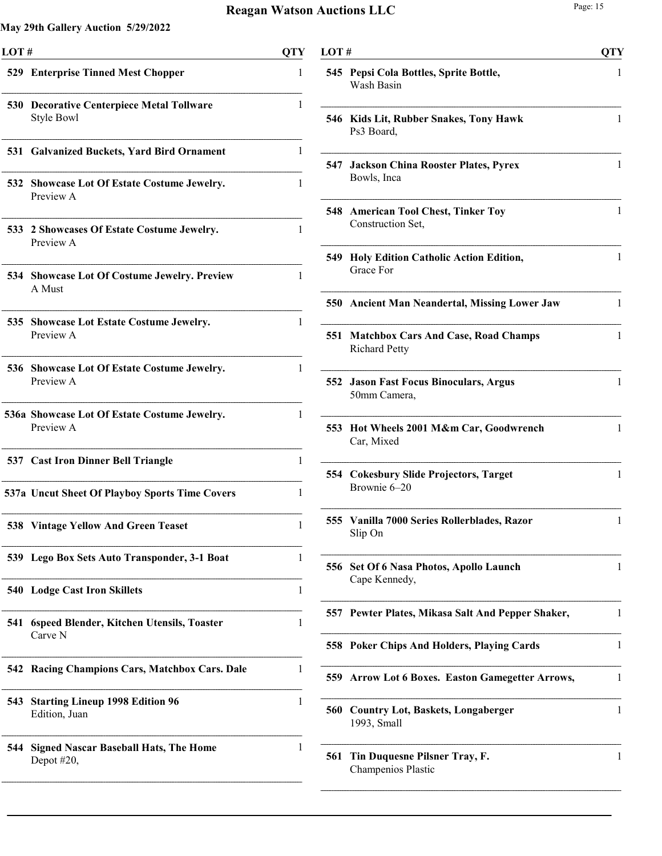| LOT# |                                                                | QTY |
|------|----------------------------------------------------------------|-----|
|      | 529 Enterprise Tinned Mest Chopper                             | 1   |
|      | <b>530 Decorative Centerpiece Metal Tollware</b><br>Style Bowl | 1   |
|      | 531 Galvanized Buckets, Yard Bird Ornament                     | 1   |
| 532  | <b>Showcase Lot Of Estate Costume Jewelry.</b><br>Preview A    | 1   |
| 533  | 2 Showcases Of Estate Costume Jewelry.<br>Preview A            | 1   |
|      | 534 Showcase Lot Of Costume Jewelry. Preview<br>A Must         | 1   |
|      | 535 Showcase Lot Estate Costume Jewelry.<br>Preview A          | 1   |
| 536  | <b>Showcase Lot Of Estate Costume Jewelry.</b><br>Preview A    | 1   |
|      | 536a Showcase Lot Of Estate Costume Jewelry.<br>Preview A      | 1   |
|      | 537 Cast Iron Dinner Bell Triangle                             | 1   |
|      | 537a Uncut Sheet Of Playboy Sports Time Covers                 | 1   |
|      | 538 Vintage Yellow And Green Teaset                            | 1   |
| 539  | Lego Box Sets Auto Transponder, 3-1 Boat                       | 1   |
| 540  | <b>Lodge Cast Iron Skillets</b>                                | 1   |
| 541  | 6speed Blender, Kitchen Utensils, Toaster<br>Carve N           | 1   |
| 542  | Racing Champions Cars, Matchbox Cars. Dale                     | 1   |
| 543  | <b>Starting Lineup 1998 Edition 96</b><br>Edition, Juan        | 1   |
| 544  | <b>Signed Nascar Baseball Hats, The Home</b><br>Depot $#20$ ,  | 1   |

| LOT# |                                                                    | <b>QTY</b> |
|------|--------------------------------------------------------------------|------------|
|      | 545 Pepsi Cola Bottles, Sprite Bottle,<br>Wash Basin               | 1          |
|      | 546 Kids Lit, Rubber Snakes, Tony Hawk<br>Ps3 Board,               | 1          |
| 547  | <b>Jackson China Rooster Plates, Pyrex</b><br>Bowls, Inca          | 1          |
|      | 548 American Tool Chest, Tinker Toy<br>Construction Set,           | 1          |
|      | 549 Holy Edition Catholic Action Edition,<br>Grace For             | 1          |
|      | 550 Ancient Man Neandertal, Missing Lower Jaw                      | 1          |
| 551  | <b>Matchbox Cars And Case, Road Champs</b><br><b>Richard Petty</b> | 1          |
|      | 552 Jason Fast Focus Binoculars, Argus<br>50mm Camera,             | 1          |
| 553  | Hot Wheels 2001 M&m Car, Goodwrench<br>Car, Mixed                  | 1          |
|      | 554 Cokesbury Slide Projectors, Target<br>Brownie 6-20             | 1          |
|      | 555 Vanilla 7000 Series Rollerblades, Razor<br>Slip On             | 1          |
| 556  | Set Of 6 Nasa Photos, Apollo Launch<br>Cape Kennedy,               | 1          |
| 557  | Pewter Plates, Mikasa Salt And Pepper Shaker,                      | 1          |
| 558  | <b>Poker Chips And Holders, Playing Cards</b>                      | 1          |
| 559  | <b>Arrow Lot 6 Boxes. Easton Gamegetter Arrows,</b>                | 1          |
| 560  | <b>Country Lot, Baskets, Longaberger</b><br>1993, Small            | 1          |
| 561  | Tin Duquesne Pilsner Tray, F.<br>Champenios Plastic                | 1          |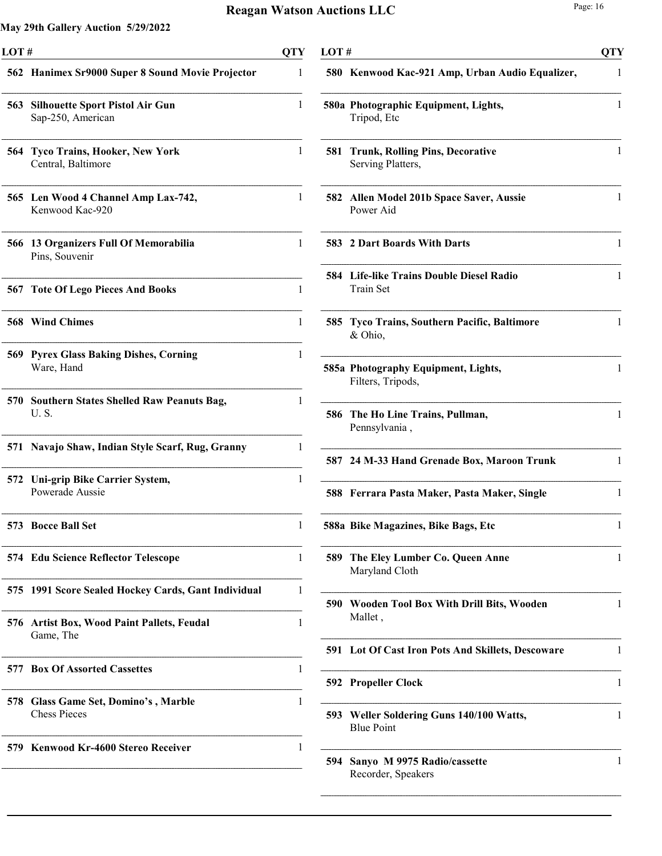| LOT# |                                                             | QTY |
|------|-------------------------------------------------------------|-----|
|      | 562 Hanimex Sr9000 Super 8 Sound Movie Projector            | 1   |
|      | 563 Silhouette Sport Pistol Air Gun<br>Sap-250, American    | 1   |
| 564  | <b>Tyco Trains, Hooker, New York</b><br>Central, Baltimore  | 1   |
|      | 565 Len Wood 4 Channel Amp Lax-742,<br>Kenwood Kac-920      | 1   |
|      | 566 13 Organizers Full Of Memorabilia<br>Pins, Souvenir     | 1   |
| 567  | <b>Tote Of Lego Pieces And Books</b>                        | 1   |
|      | <b>568</b> Wind Chimes                                      | 1   |
|      | <b>569 Pyrex Glass Baking Dishes, Corning</b><br>Ware, Hand | 1   |
| 570. | <b>Southern States Shelled Raw Peanuts Bag,</b><br>U.S.     | 1   |
|      | 571 Navajo Shaw, Indian Style Scarf, Rug, Granny            | 1   |
|      | 572 Uni-grip Bike Carrier System,<br>Powerade Aussie        | 1   |
|      | 573 Bocce Ball Set                                          | T   |
|      | 574 Edu Science Reflector Telescope                         | 1   |
|      | 575 1991 Score Sealed Hockey Cards, Gant Individual         | 1   |
| 576  | <b>Artist Box, Wood Paint Pallets, Feudal</b><br>Game, The  | 1   |
|      | 577 Box Of Assorted Cassettes                               | 1   |
| 578  | Glass Game Set, Domino's, Marble<br><b>Chess Pieces</b>     | 1   |
|      | 579 Kenwood Kr-4600 Stereo Receiver                         | 1   |

| LOT# |                                                                 | QTY |
|------|-----------------------------------------------------------------|-----|
|      | 580 Kenwood Kac-921 Amp, Urban Audio Equalizer,                 | 1   |
|      | 580a Photographic Equipment, Lights,<br>Tripod, Etc             | 1   |
| 581  | <b>Trunk, Rolling Pins, Decorative</b><br>Serving Platters,     | 1   |
| 582  | Allen Model 201b Space Saver, Aussie<br>Power Aid               | 1   |
|      | 583 2 Dart Boards With Darts                                    | 1   |
| 584  | <b>Life-like Trains Double Diesel Radio</b><br><b>Train Set</b> | 1   |
| 585. | Tyco Trains, Southern Pacific, Baltimore<br>& Ohio,             | 1   |
|      | 585a Photography Equipment, Lights,<br>Filters, Tripods,        | 1   |
| 586  | The Ho Line Trains, Pullman,<br>Pennsylvania,                   | 1   |
|      | 587 24 M-33 Hand Grenade Box, Maroon Trunk                      | 1   |
|      | 588 Ferrara Pasta Maker, Pasta Maker, Single                    | 1   |
|      | 588a Bike Magazines, Bike Bags, Etc                             |     |
| 589  | The Eley Lumber Co. Queen Anne<br>Maryland Cloth                | 1   |
| 590  | <b>Wooden Tool Box With Drill Bits, Wooden</b><br>Mallet,       | 1   |
| 591  | Lot Of Cast Iron Pots And Skillets, Descoware                   | 1   |
| 592  | <b>Propeller Clock</b>                                          | 1   |
| 593  | Weller Soldering Guns 140/100 Watts,<br><b>Blue Point</b>       | 1   |
| 594  | Sanyo M 9975 Radio/cassette<br>Recorder, Speakers               | 1   |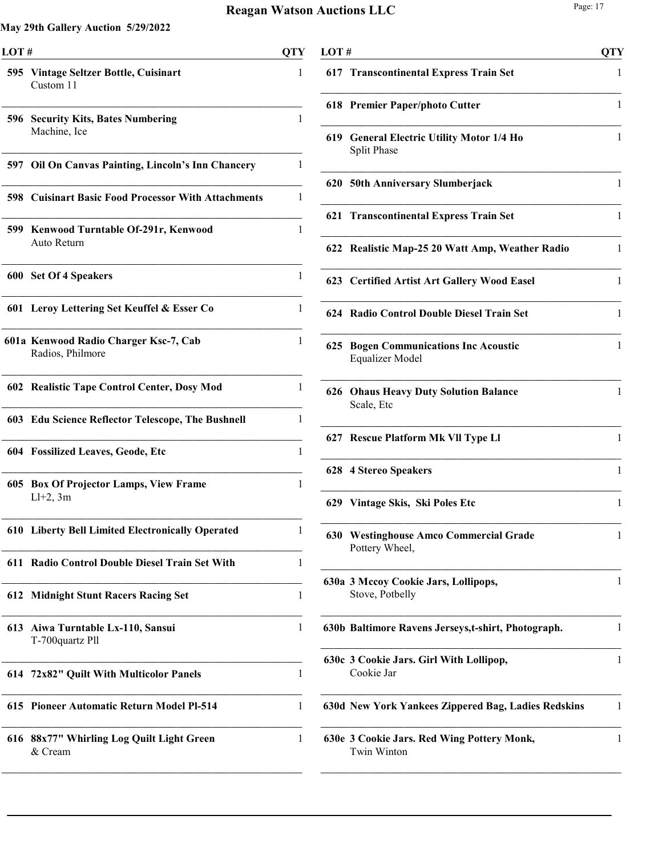| LOT# |                                                            | OTY |
|------|------------------------------------------------------------|-----|
|      | 595 Vintage Seltzer Bottle, Cuisinart<br>Custom 11         | 1   |
|      | 596 Security Kits, Bates Numbering<br>Machine, Ice         | 1   |
|      | 597 Oil On Canvas Painting, Lincoln's Inn Chancery         | 1   |
|      | <b>598 Cuisinart Basic Food Processor With Attachments</b> | 1   |
|      | 599 Kenwood Turntable Of-291r, Kenwood<br>Auto Return      | 1   |
|      | 600 Set Of 4 Speakers                                      | 1   |
|      | 601 Leroy Lettering Set Keuffel & Esser Co                 | 1   |
|      | 601a Kenwood Radio Charger Ksc-7, Cab<br>Radios, Philmore  | 1   |
|      | 602 Realistic Tape Control Center, Dosy Mod                | 1   |
|      | 603 Edu Science Reflector Telescope, The Bushnell          | 1   |
|      | 604 Fossilized Leaves, Geode, Etc                          | 1   |
|      | 605 Box Of Projector Lamps, View Frame<br>$Ll+2$ , 3m      | 1   |
|      | 610 Liberty Bell Limited Electronically Operated           | 1   |
| 611  | <b>Radio Control Double Diesel Train Set With</b>          | 1   |
| 612  | <b>Midnight Stunt Racers Racing Set</b>                    | 1   |
|      | 613 Aiwa Turntable Lx-110, Sansui<br>T-700quartz Pll       | 1   |
| 614  | 72x82" Quilt With Multicolor Panels                        | 1   |
|      | 615 Pioneer Automatic Return Model Pl-514                  | 1   |
|      | 616 88x77" Whirling Log Quilt Light Green<br>& Cream       | 1   |

| LOT # |                                                                    | <b>QTY</b>   |
|-------|--------------------------------------------------------------------|--------------|
|       | 617 Transcontinental Express Train Set                             | 1            |
|       | 618 Premier Paper/photo Cutter                                     | 1            |
| 619   | <b>General Electric Utility Motor 1/4 Ho</b><br><b>Split Phase</b> | 1            |
|       | 620 50th Anniversary Slumberjack                                   | 1            |
| 621   | <b>Transcontinental Express Train Set</b>                          | 1            |
|       | 622 Realistic Map-25 20 Watt Amp, Weather Radio                    | 1            |
|       | 623 Certified Artist Art Gallery Wood Easel                        | 1            |
|       | 624 Radio Control Double Diesel Train Set                          | 1            |
| 625   | <b>Bogen Communications Inc Acoustic</b><br>Equalizer Model        | 1            |
| 626   | <b>Ohaus Heavy Duty Solution Balance</b><br>Scale, Etc             | $\mathbf{1}$ |
|       | 627 Rescue Platform Mk Vll Type Ll                                 | 1            |
|       | 628 4 Stereo Speakers                                              | 1            |
|       | 629 Vintage Skis, Ski Poles Etc                                    | 1            |
|       | 630 Westinghouse Amco Commercial Grade<br>Pottery Wheel,           | 1            |
|       | 630a 3 Mccoy Cookie Jars, Lollipops,<br>Stove, Potbelly            | 1            |
|       | 630b Baltimore Ravens Jerseys, t-shirt, Photograph.                | 1            |
|       | 630c 3 Cookie Jars. Girl With Lollipop,<br>Cookie Jar              | 1            |
|       | 630d New York Yankees Zippered Bag, Ladies Redskins                | 1            |
|       | 630e 3 Cookie Jars. Red Wing Pottery Monk,<br>Twin Winton          | 1            |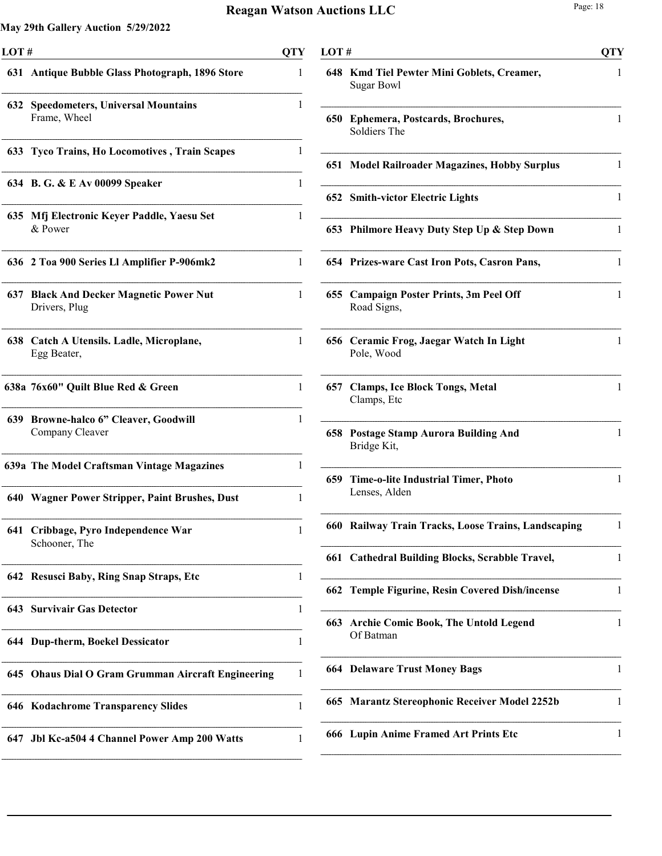| LOT# |                                                          | OTY |
|------|----------------------------------------------------------|-----|
|      | 631 Antique Bubble Glass Photograph, 1896 Store          | 1   |
| 632  | <b>Speedometers, Universal Mountains</b><br>Frame, Wheel | 1   |
|      | 633 Tyco Trains, Ho Locomotives, Train Scapes            | 1   |
|      | 634 B. G. & E Av 00099 Speaker                           | 1   |
|      | 635 Mfj Electronic Keyer Paddle, Yaesu Set<br>& Power    | 1   |
|      | 636 2 Toa 900 Series Ll Amplifier P-906mk2               | 1   |
|      | 637 Black And Decker Magnetic Power Nut<br>Drivers, Plug | 1   |
|      | 638 Catch A Utensils. Ladle, Microplane,<br>Egg Beater,  | 1   |
|      | 638a 76x60" Quilt Blue Red & Green                       | 1   |
|      | 639 Browne-halco 6" Cleaver, Goodwill<br>Company Cleaver | 1   |
|      | 639a The Model Craftsman Vintage Magazines               | 1   |
|      | 640 Wagner Power Stripper, Paint Brushes, Dust           | 1   |
| 641  | Cribbage, Pyro Independence War<br>Schooner, The         | 1   |
| 642  | <b>Resusci Baby, Ring Snap Straps, Etc.</b>              | 1   |
|      | <b>643 Survivair Gas Detector</b>                        | 1   |
|      | 644 Dup-therm, Boekel Dessicator                         | 1   |
|      | 645 Ohaus Dial O Gram Grumman Aircraft Engineering       | 1   |
|      | 646 Kodachrome Transparency Slides                       | 1   |
| 647  | Jbl Kc-a504 4 Channel Power Amp 200 Watts                | 1   |

| LOT# |                                                             | <b>QTY</b> |
|------|-------------------------------------------------------------|------------|
| 648. | Kmd Tiel Pewter Mini Goblets, Creamer,<br><b>Sugar Bowl</b> | 1          |
| 650  | Ephemera, Postcards, Brochures,<br>Soldiers The             | 1          |
|      | 651 Model Railroader Magazines, Hobby Surplus               | 1          |
|      | 652 Smith-victor Electric Lights                            | 1          |
| 653  | Philmore Heavy Duty Step Up & Step Down                     | 1          |
|      | 654 Prizes-ware Cast Iron Pots, Casron Pans,                | 1          |
|      | 655 Campaign Poster Prints, 3m Peel Off<br>Road Signs,      | 1          |
|      | 656 Ceramic Frog, Jaegar Watch In Light<br>Pole, Wood       | 1          |
|      | 657 Clamps, Ice Block Tongs, Metal<br>Clamps, Etc           | 1          |
| 658  | <b>Postage Stamp Aurora Building And</b><br>Bridge Kit,     | 1          |
| 659  | <b>Time-o-lite Industrial Timer, Photo</b><br>Lenses, Alden | 1          |
| 660  | Railway Train Tracks, Loose Trains, Landscaping             | 1          |
|      | 661 Cathedral Building Blocks, Scrabble Travel,             | 1          |
| 662  | <b>Temple Figurine, Resin Covered Dish/incense</b>          | 1          |
|      | 663 Archie Comic Book, The Untold Legend<br>Of Batman       | 1          |
|      | <b>664 Delaware Trust Money Bags</b>                        | 1          |
| 665  | <b>Marantz Stereophonic Receiver Model 2252b</b>            | 1          |
| 666  | <b>Lupin Anime Framed Art Prints Etc</b>                    | 1          |
|      |                                                             |            |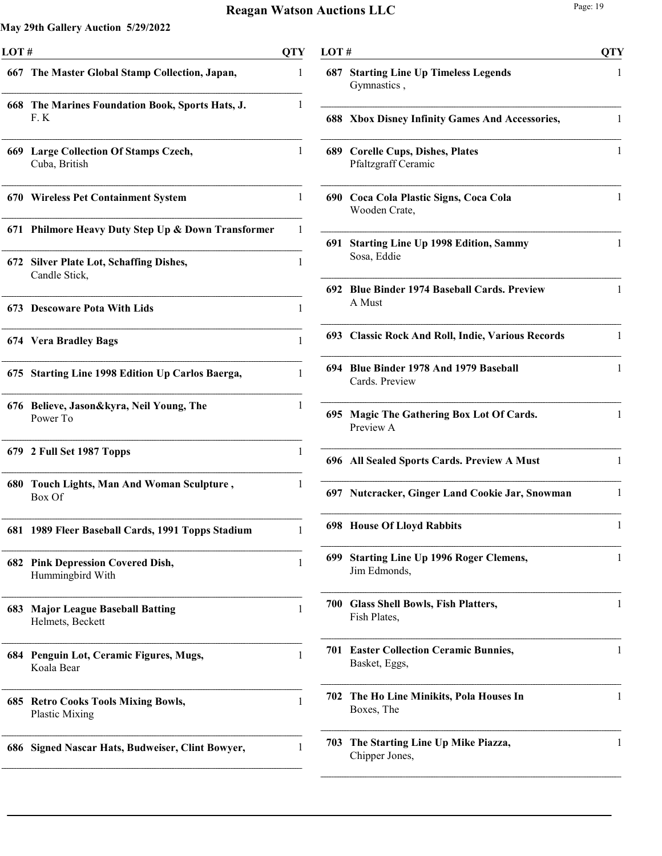| LOT# |                                                                 | <b>QTY</b> |
|------|-----------------------------------------------------------------|------------|
|      | 667 The Master Global Stamp Collection, Japan,                  | 1          |
| 668  | The Marines Foundation Book, Sports Hats, J.<br>F.K             | 1          |
|      | 669 Large Collection Of Stamps Czech,<br>Cuba, British          | 1          |
|      | 670 Wireless Pet Containment System                             | 1          |
| 671  | <b>Philmore Heavy Duty Step Up &amp; Down Transformer</b>       | 1          |
| 672  | <b>Silver Plate Lot, Schaffing Dishes,</b><br>Candle Stick,     | 1          |
| 673. | <b>Descoware Pota With Lids</b>                                 | 1          |
|      | 674 Vera Bradley Bags                                           | 1          |
| 675  | <b>Starting Line 1998 Edition Up Carlos Baerga,</b>             | 1          |
| 676  | Believe, Jason&kyra, Neil Young, The<br>Power To                | 1          |
|      | 679 2 Full Set 1987 Topps                                       | 1          |
| 680  | Touch Lights, Man And Woman Sculpture,<br>Box Of                | 1          |
| 681  | 1989 Fleer Baseball Cards, 1991 Topps Stadium                   | 1          |
| 682  | <b>Pink Depression Covered Dish,</b><br>Hummingbird With        | 1          |
| 683  | <b>Major League Baseball Batting</b><br>Helmets, Beckett        | 1          |
| 684  | Penguin Lot, Ceramic Figures, Mugs,<br>Koala Bear               | 1          |
| 685  | <b>Retro Cooks Tools Mixing Bowls,</b><br><b>Plastic Mixing</b> | 1          |
| 686  | <b>Signed Nascar Hats, Budweiser, Clint Bowyer,</b>             | 1          |
|      |                                                                 |            |

| LOT# |                                                             | OTY |
|------|-------------------------------------------------------------|-----|
| 687  | <b>Starting Line Up Timeless Legends</b><br>Gymnastics,     | 1   |
|      | 688 Xbox Disney Infinity Games And Accessories,             | 1   |
|      | 689 Corelle Cups, Dishes, Plates<br>Pfaltzgraff Ceramic     | 1   |
|      | 690 Coca Cola Plastic Signs, Coca Cola<br>Wooden Crate,     | 1   |
| 691  | <b>Starting Line Up 1998 Edition, Sammy</b><br>Sosa, Eddie  | 1   |
|      | 692 Blue Binder 1974 Baseball Cards. Preview<br>A Must      | 1   |
|      | 693 Classic Rock And Roll, Indie, Various Records           | 1   |
|      | 694 Blue Binder 1978 And 1979 Baseball<br>Cards. Preview    | 1   |
|      | 695 Magic The Gathering Box Lot Of Cards.<br>Preview A      | 1   |
|      | 696 All Sealed Sports Cards. Preview A Must                 | 1   |
|      | 697 Nutcracker, Ginger Land Cookie Jar, Snowman             | 1   |
|      | <b>698 House Of Lloyd Rabbits</b>                           | 1   |
| 699  | <b>Starting Line Up 1996 Roger Clemens,</b><br>Jim Edmonds, | 1   |
| 700  | <b>Glass Shell Bowls, Fish Platters,</b><br>Fish Plates,    | 1   |
| 701  | <b>Easter Collection Ceramic Bunnies,</b><br>Basket, Eggs,  | 1   |
| 702  | The Ho Line Minikits, Pola Houses In<br>Boxes, The          | 1   |
| 703  | The Starting Line Up Mike Piazza,<br>Chipper Jones,         | 1   |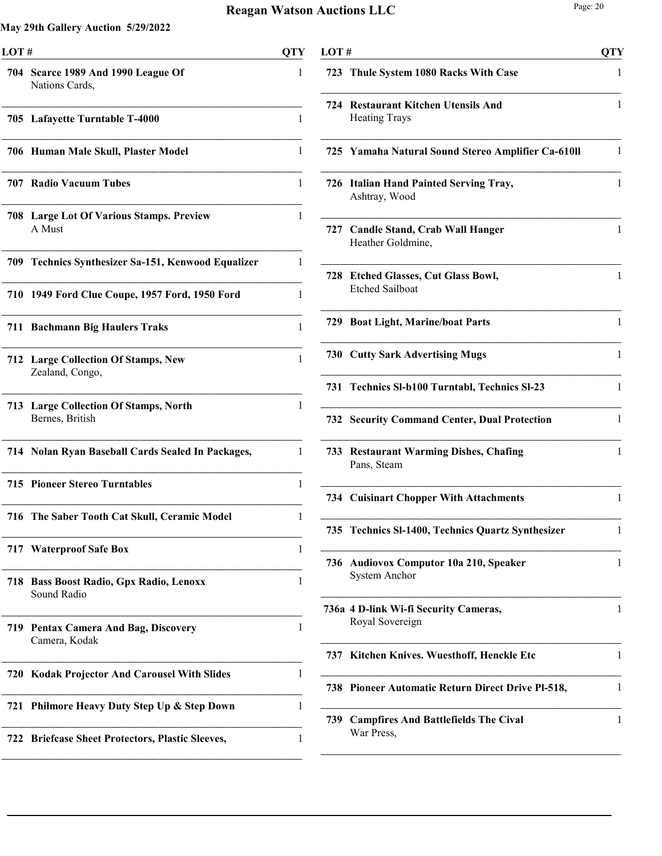| LOT# |                                                               | <b>QTY</b> |
|------|---------------------------------------------------------------|------------|
|      | 704 Scarce 1989 And 1990 League Of<br>Nations Cards,          | 1          |
|      | 705 Lafayette Turntable T-4000                                | 1          |
|      | 706 Human Male Skull, Plaster Model                           | 1          |
|      | 707 Radio Vacuum Tubes                                        | 1          |
|      | <b>708 Large Lot Of Various Stamps. Preview</b><br>A Must     | 1          |
| 709  | <b>Technics Synthesizer Sa-151, Kenwood Equalizer</b>         | 1          |
| 710  | 1949 Ford Clue Coupe, 1957 Ford, 1950 Ford                    | 1          |
|      | 711 Bachmann Big Haulers Traks                                | 1          |
|      | <b>712 Large Collection Of Stamps, New</b><br>Zealand, Congo, | 1          |
|      | 713 Large Collection Of Stamps, North<br>Bernes, British      | 1          |
|      | 714 Nolan Ryan Baseball Cards Sealed In Packages,             | 1          |
|      | <b>715 Pioneer Stereo Turntables</b>                          | 1          |
|      | 716 The Saber Tooth Cat Skull, Ceramic Model                  | 1          |
|      | 717 Waterproof Safe Box                                       | 1          |
| 718  | <b>Bass Boost Radio, Gpx Radio, Lenoxx</b><br>Sound Radio     | 1          |
| 719. | <b>Pentax Camera And Bag, Discovery</b><br>Camera, Kodak      | 1          |
|      | 720 Kodak Projector And Carousel With Slides                  | 1          |
| 721  | Philmore Heavy Duty Step Up & Step Down                       | 1          |
| 722  | <b>Briefcase Sheet Protectors, Plastic Sleeves,</b>           | 1          |

| LOT# |                                                                  | OTY          |
|------|------------------------------------------------------------------|--------------|
| 723  | Thule System 1080 Racks With Case                                | 1            |
| 724  | <b>Restaurant Kitchen Utensils And</b><br><b>Heating Trays</b>   | 1            |
|      | 725 Yamaha Natural Sound Stereo Amplifier Ca-610ll               | 1            |
| 726  | <b>Italian Hand Painted Serving Tray,</b><br>Ashtray, Wood       | 1            |
|      | 727 Candle Stand, Crab Wall Hanger<br>Heather Goldmine,          | $\mathbf{1}$ |
| 728  | <b>Etched Glasses, Cut Glass Bowl,</b><br><b>Etched Sailboat</b> | 1            |
|      | 729 Boat Light, Marine/boat Parts                                | 1            |
|      | <b>730 Cutty Sark Advertising Mugs</b>                           | 1            |
| 731  | Technics SI-b100 Turntabl, Technics SI-23                        | 1            |
|      | <b>732 Security Command Center, Dual Protection</b>              | 1            |
| 733  | <b>Restaurant Warming Dishes, Chafing</b><br>Pans, Steam         | 1            |
|      | <b>734 Cuisinart Chopper With Attachments</b>                    | 1            |
|      | 735 Technics SI-1400, Technics Quartz Synthesizer                | 1            |
| 736  | <b>Audiovox Computor 10a 210, Speaker</b><br>System Anchor       | 1            |
|      | 736a 4 D-link Wi-fi Security Cameras,<br>Royal Sovereign         | 1            |
| 737  | Kitchen Knives. Wuesthoff, Henckle Etc                           | 1            |
| 738  | Pioneer Automatic Return Direct Drive Pl-518,                    | 1            |
| 739  | <b>Campfires And Battlefields The Cival</b><br>War Press,        | 1            |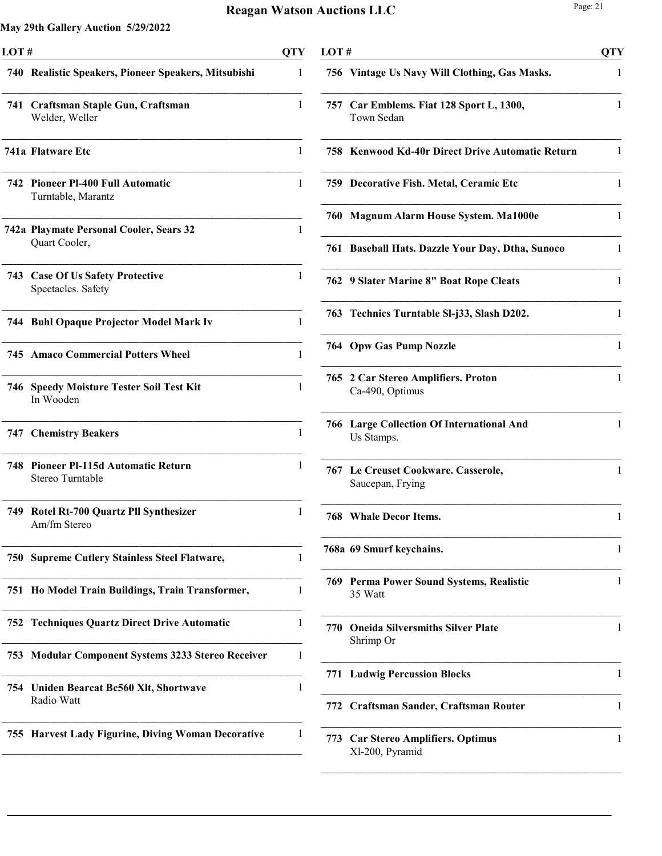| LOT# |                                                             |   |
|------|-------------------------------------------------------------|---|
|      | 740 Realistic Speakers, Pioneer Speakers, Mitsubishi        | 1 |
| 741  | Craftsman Staple Gun, Craftsman<br>Welder, Weller           | 1 |
|      | 741a Flatware Etc                                           | 1 |
| 742  | <b>Pioneer PI-400 Full Automatic</b><br>Turntable, Marantz  | 1 |
|      | 742a Playmate Personal Cooler, Sears 32<br>Quart Cooler,    | 1 |
| 743  | <b>Case Of Us Safety Protective</b><br>Spectacles. Safety   | 1 |
|      | 744 Buhl Opaque Projector Model Mark Iv                     | 1 |
|      | <b>745 Amaco Commercial Potters Wheel</b>                   | 1 |
| 746  | <b>Speedy Moisture Tester Soil Test Kit</b><br>In Wooden    | 1 |
|      | <b>747 Chemistry Beakers</b>                                | 1 |
| 748  | <b>Pioneer Pl-115d Automatic Return</b><br>Stereo Turntable | 1 |
| 749. | Rotel Rt-700 Quartz Pll Synthesizer<br>Am/fm Stereo         | 1 |
| 750  | <b>Supreme Cutlery Stainless Steel Flatware,</b>            | 1 |
| 751  | Ho Model Train Buildings, Train Transformer,                | 1 |
| 752  | <b>Techniques Quartz Direct Drive Automatic</b>             | 1 |
| 753  | <b>Modular Component Systems 3233 Stereo Receiver</b>       | 1 |
| 754  | Uniden Bearcat Bc560 Xlt, Shortwave<br>Radio Watt           | 1 |
| 755  | <b>Harvest Lady Figurine, Diving Woman Decorative</b>       | 1 |

| LOT# |                                                                | <b>QTY</b> |
|------|----------------------------------------------------------------|------------|
|      | 756 Vintage Us Navy Will Clothing, Gas Masks.                  | 1          |
|      | 757 Car Emblems. Fiat 128 Sport L, 1300,<br>Town Sedan         | 1          |
|      | 758 Kenwood Kd-40r Direct Drive Automatic Return               | 1          |
|      | 759 Decorative Fish. Metal, Ceramic Etc                        | 1          |
|      | 760 Magnum Alarm House System. Ma1000e                         | 1          |
| 761  | <b>Baseball Hats. Dazzle Your Day, Dtha, Sunoco</b>            | 1          |
|      | 762 9 Slater Marine 8" Boat Rope Cleats                        | 1          |
|      | 763 Technics Turntable SI-j33, Slash D202.                     | 1          |
|      | <b>764 Opw Gas Pump Nozzle</b>                                 | 1          |
| 765  | 2 Car Stereo Amplifiers. Proton<br>Ca-490, Optimus             | 1          |
|      | <b>766 Large Collection Of International And</b><br>Us Stamps. | 1          |
|      | 767 Le Creuset Cookware. Casserole,<br>Saucepan, Frying        | 1          |
|      | 768 Whale Decor Items.                                         | 1          |
|      | 768a 69 Smurf keychains.                                       | 1          |
| 769  | Perma Power Sound Systems, Realistic<br>35 Watt                | 1          |
| 770  | <b>Oneida Silversmiths Silver Plate</b><br>Shrimp Or           | 1          |
| 771  | <b>Ludwig Percussion Blocks</b>                                | 1          |
|      | 772 Craftsman Sander, Craftsman Router                         | 1          |
| 773  | <b>Car Stereo Amplifiers. Optimus</b><br>Xl-200, Pyramid       | 1          |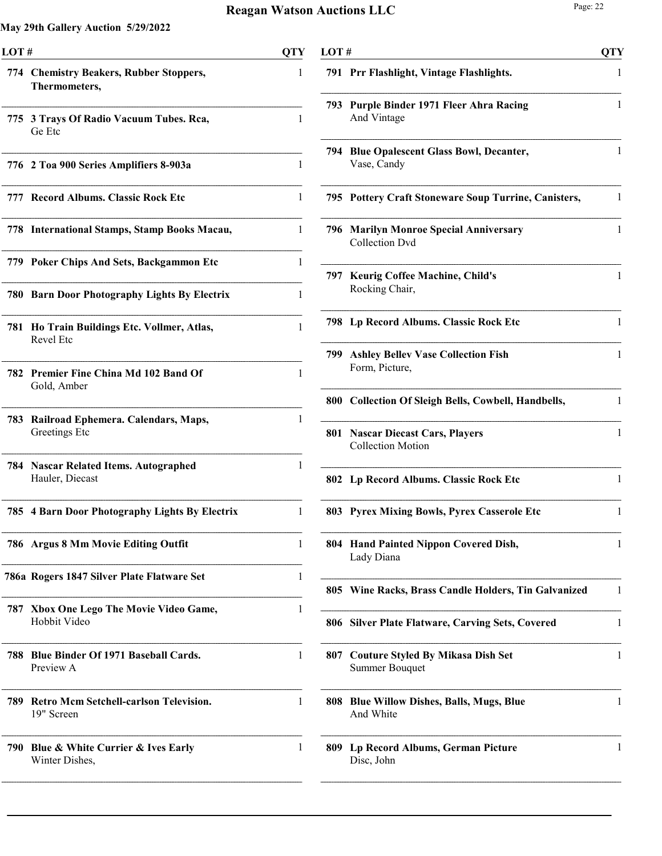| LOT# |                                                          | <b>QTY</b>   | LOT# |                                                                | <b>QTY</b> |
|------|----------------------------------------------------------|--------------|------|----------------------------------------------------------------|------------|
|      | 774 Chemistry Beakers, Rubber Stoppers,<br>Thermometers, | 1            |      | 791 Prr Flashlight, Vintage Flashlights.                       |            |
|      | 775 3 Trays Of Radio Vacuum Tubes. Rca,<br>Ge Etc        | 1            |      | 793 Purple Binder 1971 Fleer Ahra Racing<br>And Vintage        |            |
|      | 776 2 Toa 900 Series Amplifiers 8-903a                   | 1            |      | 794 Blue Opalescent Glass Bowl, Decanter,<br>Vase, Candy       |            |
|      | 777 Record Albums. Classic Rock Etc                      | 1            |      | 795 Pottery Craft Stoneware Soup Turrine, Canisters,           | 1          |
|      | 778 International Stamps, Stamp Books Macau,             | 1            |      | 796 Marilyn Monroe Special Anniversary<br>Collection Dvd       | 1          |
|      | 779 Poker Chips And Sets, Backgammon Etc                 | 1            |      | 797 Keurig Coffee Machine, Child's                             | 1          |
|      | 780 Barn Door Photography Lights By Electrix             | 1            |      | Rocking Chair,                                                 |            |
|      | 781 Ho Train Buildings Etc. Vollmer, Atlas,<br>Revel Etc | $\mathbf{1}$ |      | 798 Lp Record Albums. Classic Rock Etc                         | 1          |
|      | 782 Premier Fine China Md 102 Band Of                    | 1            |      | 799 Ashley Bellev Vase Collection Fish<br>Form, Picture,       | 1          |
|      | Gold, Amber                                              |              |      | 800 Collection Of Sleigh Bells, Cowbell, Handbells,            | 1          |
|      | 783 Railroad Ephemera. Calendars, Maps,<br>Greetings Etc |              |      | 801 Nascar Diecast Cars, Players<br><b>Collection Motion</b>   | 1          |
|      | 784 Nascar Related Items. Autographed<br>Hauler, Diecast |              |      | 802 Lp Record Albums. Classic Rock Etc                         | 1          |
|      | 785 4 Barn Door Photography Lights By Electrix           | 1            |      | 803 Pyrex Mixing Bowls, Pyrex Casserole Etc                    | 1          |
|      | 786 Argus 8 Mm Movie Editing Outfit                      | 1            |      | 804 Hand Painted Nippon Covered Dish,<br>Lady Diana            | 1          |
|      | 786a Rogers 1847 Silver Plate Flatware Set               | 1            |      | 805 Wine Racks, Brass Candle Holders, Tin Galvanized           |            |
|      | 787 Xbox One Lego The Movie Video Game,<br>Hobbit Video  | 1            |      | 806 Silver Plate Flatware, Carving Sets, Covered               | 1          |
|      | 788 Blue Binder Of 1971 Baseball Cards.<br>Preview A     | 1            |      | 807 Couture Styled By Mikasa Dish Set<br><b>Summer Bouquet</b> |            |
|      | 789 Retro Mcm Setchell-carlson Television.<br>19" Screen | $\mathbf{1}$ |      | 808 Blue Willow Dishes, Balls, Mugs, Blue<br>And White         |            |
|      | 790 Blue & White Currier & Ives Early<br>Winter Dishes,  | 1            |      | 809 Lp Record Albums, German Picture<br>Disc, John             |            |
|      |                                                          |              |      |                                                                |            |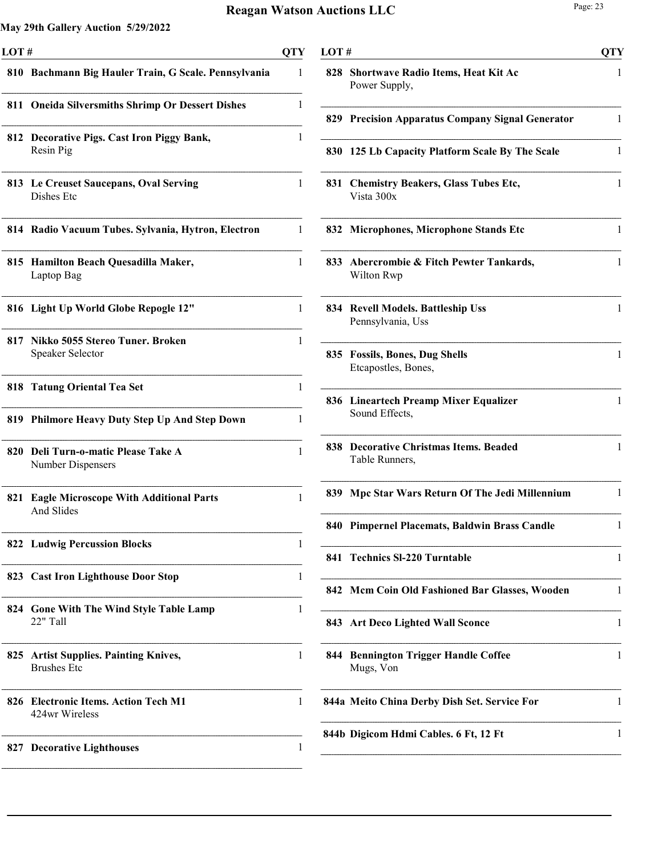| LOT# |                                                                | <b>QTY</b> |
|------|----------------------------------------------------------------|------------|
|      | 810 Bachmann Big Hauler Train, G Scale. Pennsylvania           | 1          |
| 811  | <b>Oneida Silversmiths Shrimp Or Dessert Dishes</b>            | 1          |
|      | 812 Decorative Pigs. Cast Iron Piggy Bank,<br>Resin Pig        | 1          |
|      | 813 Le Creuset Saucepans, Oval Serving<br>Dishes Etc           | 1          |
|      | 814 Radio Vacuum Tubes. Sylvania, Hytron, Electron             | 1          |
|      | 815 Hamilton Beach Quesadilla Maker,<br>Laptop Bag             | 1          |
|      | 816 Light Up World Globe Repogle 12"                           | 1          |
| 817  | Nikko 5055 Stereo Tuner. Broken<br>Speaker Selector            | 1          |
| 818  | <b>Tatung Oriental Tea Set</b>                                 | 1          |
|      | 819 Philmore Heavy Duty Step Up And Step Down                  | 1          |
| 820  | Deli Turn-o-matic Please Take A<br>Number Dispensers           | 1          |
| 821  | <b>Eagle Microscope With Additional Parts</b><br>And Slides    | 1          |
|      | <b>822 Ludwig Percussion Blocks</b>                            | 1          |
| 823  | <b>Cast Iron Lighthouse Door Stop</b>                          | 1          |
| 824  | <b>Gone With The Wind Style Table Lamp</b><br>22" Tall         | 1          |
| 825  | <b>Artist Supplies. Painting Knives,</b><br><b>Brushes Etc</b> | 1          |
| 826  | <b>Electronic Items. Action Tech M1</b><br>424wr Wireless      | 1          |
| 827  | <b>Decorative Lighthouses</b>                                  | 1          |

| LOT# |                                                            |              |  |
|------|------------------------------------------------------------|--------------|--|
| 828  | <b>Shortwave Radio Items, Heat Kit Ac</b><br>Power Supply, | 1            |  |
|      | 829 Precision Apparatus Company Signal Generator           | 1            |  |
| 830  | 125 Lb Capacity Platform Scale By The Scale                | 1            |  |
| 831  | <b>Chemistry Beakers, Glass Tubes Etc,</b><br>Vista 300x   | 1            |  |
| 832  | <b>Microphones, Microphone Stands Etc</b>                  | 1            |  |
| 833  | Abercrombie & Fitch Pewter Tankards,<br>Wilton Rwp         | 1            |  |
|      | 834 Revell Models. Battleship Uss<br>Pennsylvania, Uss     | 1            |  |
| 835. | <b>Fossils, Bones, Dug Shells</b><br>Etcapostles, Bones,   | 1            |  |
| 836  | Lineartech Preamp Mixer Equalizer<br>Sound Effects,        | 1            |  |
|      | 838 Decorative Christmas Items. Beaded<br>Table Runners,   | $\mathbf{1}$ |  |
| 839  | Mpc Star Wars Return Of The Jedi Millennium                | 1            |  |
|      | 840 Pimpernel Placemats, Baldwin Brass Candle              | 1            |  |
| 841  | <b>Technics SI-220 Turntable</b>                           | 1            |  |
| 842  | Mcm Coin Old Fashioned Bar Glasses, Wooden                 | 1            |  |
| 843. | <b>Art Deco Lighted Wall Sconce</b>                        | 1            |  |
| 844  | <b>Bennington Trigger Handle Coffee</b><br>Mugs, Von       | 1            |  |
|      | 844a Meito China Derby Dish Set. Service For               | 1            |  |
|      | 844b Digicom Hdmi Cables. 6 Ft, 12 Ft                      | 1            |  |
|      |                                                            |              |  |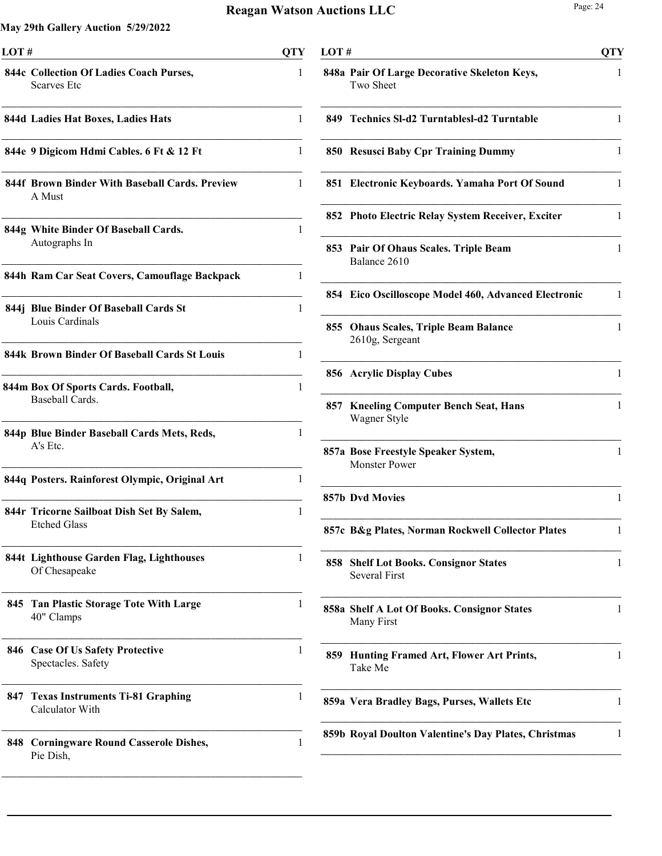| LOT# |                                                                  |   |
|------|------------------------------------------------------------------|---|
|      | 844c Collection Of Ladies Coach Purses,<br><b>Scarves</b> Etc    | 1 |
|      | 844d Ladies Hat Boxes, Ladies Hats                               | 1 |
|      | 844e 9 Digicom Hdmi Cables. 6 Ft & 12 Ft                         | 1 |
|      | 844f Brown Binder With Baseball Cards. Preview<br>A Must         | 1 |
|      | 844g White Binder Of Baseball Cards.<br>Autographs In            | 1 |
|      | 844h Ram Car Seat Covers, Camouflage Backpack                    | 1 |
|      | 844j Blue Binder Of Baseball Cards St<br>Louis Cardinals         | 1 |
|      | 844k Brown Binder Of Baseball Cards St Louis                     | 1 |
|      | 844m Box Of Sports Cards. Football,<br>Baseball Cards.           | 1 |
|      | 844p Blue Binder Baseball Cards Mets, Reds,<br>A's Etc.          | 1 |
|      | 844q Posters. Rainforest Olympic, Original Art                   | 1 |
|      | 844r Tricorne Sailboat Dish Set By Salem,<br><b>Etched Glass</b> | 1 |
|      | 844t Lighthouse Garden Flag, Lighthouses<br>Of Chesapeake        | 1 |
| 845  | <b>Tan Plastic Storage Tote With Large</b><br>40" Clamps         | 1 |
| 846  | <b>Case Of Us Safety Protective</b><br>Spectacles. Safety        | 1 |
| 847  | <b>Texas Instruments Ti-81 Graphing</b><br>Calculator With       | 1 |
| 848  | <b>Corningware Round Casserole Dishes,</b><br>Pie Dish,          | 1 |

| LOT# |                                                                  | <b>QTY</b> |
|------|------------------------------------------------------------------|------------|
|      | 848a Pair Of Large Decorative Skeleton Keys,<br>Two Sheet        | 1          |
| 849  | <b>Technics SI-d2 TurntablesI-d2 Turntable</b>                   | 1          |
|      | 850 Resusci Baby Cpr Training Dummy                              | 1          |
| 851  | Electronic Keyboards. Yamaha Port Of Sound                       | 1          |
|      | 852 Photo Electric Relay System Receiver, Exciter                | 1          |
| 853  | Pair Of Ohaus Scales. Triple Beam<br>Balance 2610                | 1          |
| 854  | Eico Oscilloscope Model 460, Advanced Electronic                 | 1          |
| 855  | <b>Ohaus Scales, Triple Beam Balance</b><br>2610g, Sergeant      | 1          |
|      | 856 Acrylic Display Cubes                                        | 1          |
| 857  | <b>Kneeling Computer Bench Seat, Hans</b><br>Wagner Style        | 1          |
|      | 857a Bose Freestyle Speaker System,<br><b>Monster Power</b>      | 1          |
|      | 857b Dvd Movies                                                  | 1          |
|      | 857c B&g Plates, Norman Rockwell Collector Plates                |            |
| 858  | <b>Shelf Lot Books. Consignor States</b><br><b>Several First</b> | 1          |
|      | 858a Shelf A Lot Of Books. Consignor States<br>Many First        | 1          |
| 859  | Hunting Framed Art, Flower Art Prints,<br>Take Me                | 1          |
|      | 859a Vera Bradley Bags, Purses, Wallets Etc                      | 1          |
|      | 859b Royal Doulton Valentine's Day Plates, Christmas             | 1          |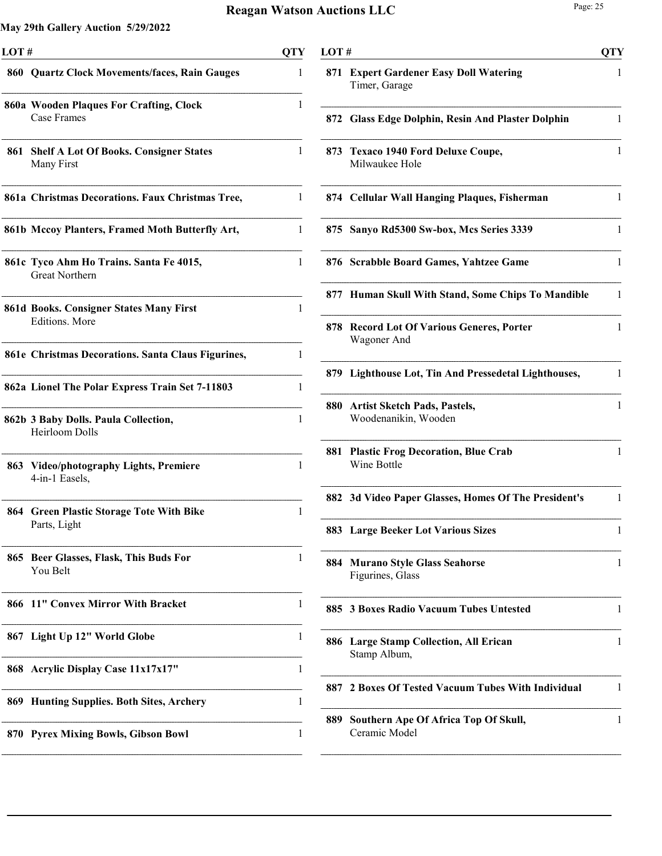| LOT# |                                                                         |   |
|------|-------------------------------------------------------------------------|---|
|      | 860 Quartz Clock Movements/faces, Rain Gauges                           | 1 |
|      | 860a Wooden Plaques For Crafting, Clock<br>Case Frames                  | 1 |
| 861  | <b>Shelf A Lot Of Books. Consigner States</b><br>Many First             | 1 |
|      | 861a Christmas Decorations. Faux Christmas Tree,                        | 1 |
|      | 861b Mccoy Planters, Framed Moth Butterfly Art,                         | 1 |
|      | 861c Tyco Ahm Ho Trains. Santa Fe 4015,<br><b>Great Northern</b>        | 1 |
|      | <b>861d Books. Consigner States Many First</b><br><b>Editions.</b> More | 1 |
|      | 861e Christmas Decorations. Santa Claus Figurines,                      | 1 |
|      | 862a Lionel The Polar Express Train Set 7-11803                         | 1 |
|      | 862b 3 Baby Dolls. Paula Collection,<br>Heirloom Dolls                  | 1 |
|      | 863 Video/photography Lights, Premiere<br>4-in-1 Easels,                | 1 |
| 864  | <b>Green Plastic Storage Tote With Bike</b><br>Parts, Light             | 1 |
| 865  | Beer Glasses, Flask, This Buds For<br>You Belt                          | 1 |
| 866  | 11" Convex Mirror With Bracket                                          | 1 |
| 867  | Light Up 12" World Globe                                                | 1 |
| 868  | <b>Acrylic Display Case 11x17x17"</b>                                   | 1 |
| 869  | <b>Hunting Supplies. Both Sites, Archery</b>                            | 1 |
| 870  | <b>Pyrex Mixing Bowls, Gibson Bowl</b>                                  | 1 |

| LOT# |                                                             | <b>QTY</b> |
|------|-------------------------------------------------------------|------------|
|      | 871 Expert Gardener Easy Doll Watering<br>Timer, Garage     | 1          |
| 872  | <b>Glass Edge Dolphin, Resin And Plaster Dolphin</b>        | 1          |
| 873  | <b>Texaco 1940 Ford Deluxe Coupe,</b><br>Milwaukee Hole     | 1          |
|      | 874 Cellular Wall Hanging Plaques, Fisherman                | 1          |
| 875  | Sanyo Rd5300 Sw-box, Mcs Series 3339                        | 1          |
|      | 876 Scrabble Board Games, Yahtzee Game                      | 1          |
|      | 877 Human Skull With Stand, Some Chips To Mandible          | 1          |
|      | 878 Record Lot Of Various Generes, Porter<br>Wagoner And    | 1          |
|      | 879 Lighthouse Lot, Tin And Pressedetal Lighthouses,        | 1          |
| 880  | <b>Artist Sketch Pads, Pastels,</b><br>Woodenanikin, Wooden | 1          |
| 881  | <b>Plastic Frog Decoration, Blue Crab</b><br>Wine Bottle    | 1          |
|      | 882 3d Video Paper Glasses, Homes Of The President's        | 1          |
|      | 883 Large Beeker Lot Various Sizes                          | I          |
| 884  | <b>Murano Style Glass Seahorse</b><br>Figurines, Glass      | 1          |
|      | 885 3 Boxes Radio Vacuum Tubes Untested                     | 1          |
| 886  | <b>Large Stamp Collection, All Erican</b><br>Stamp Album,   | 1          |
| 887  | 2 Boxes Of Tested Vacuum Tubes With Individual              | 1          |
| 889  | Southern Ape Of Africa Top Of Skull,<br>Ceramic Model       | 1          |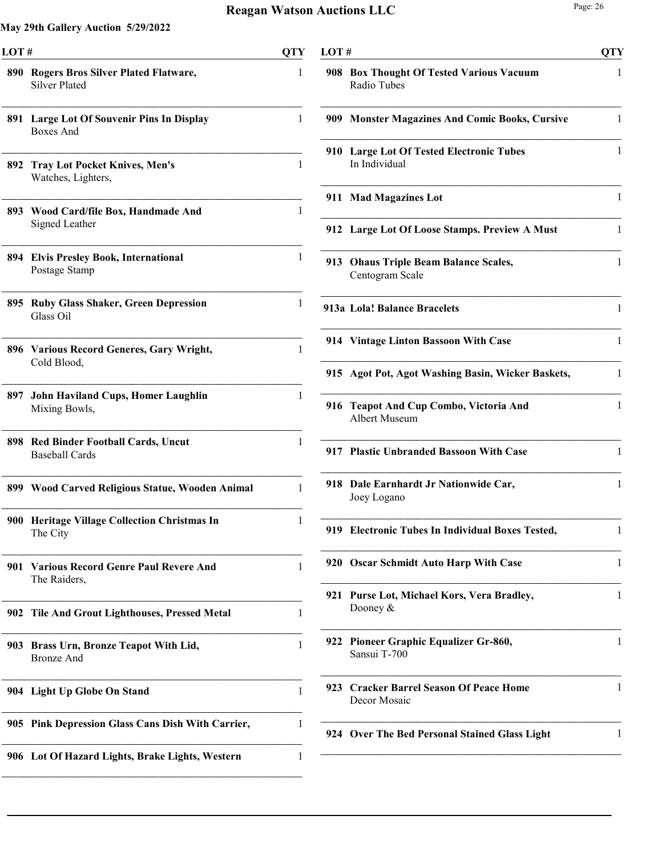| LOT# |                                                                 | <b>QTY</b>   |
|------|-----------------------------------------------------------------|--------------|
|      | 890 Rogers Bros Silver Plated Flatware,<br><b>Silver Plated</b> | 1            |
| 891  | <b>Large Lot Of Souvenir Pins In Display</b><br>Boxes And       | 1            |
| 892  | <b>Tray Lot Pocket Knives, Men's</b><br>Watches, Lighters,      | $\mathbf{1}$ |
|      | 893 Wood Card/file Box, Handmade And<br>Signed Leather          | 1            |
| 894  | <b>Elvis Presley Book, International</b><br>Postage Stamp       | 1            |
| 895  | <b>Ruby Glass Shaker, Green Depression</b><br>Glass Oil         | 1            |
|      | 896 Various Record Generes, Gary Wright,<br>Cold Blood,         | 1            |
| 897  | <b>John Haviland Cups, Homer Laughlin</b><br>Mixing Bowls,      | 1            |
|      | 898 Red Binder Football Cards, Uncut<br><b>Baseball Cards</b>   | 1            |
|      | 899 Wood Carved Religious Statue, Wooden Animal                 | 1            |
|      | 900 Heritage Village Collection Christmas In<br>The City        | 1            |
| 901  | <b>Various Record Genre Paul Revere And</b><br>The Raiders,     | 1            |
| 902  | <b>Tile And Grout Lighthouses, Pressed Metal</b>                | 1            |
| 903  | Brass Urn, Bronze Teapot With Lid,<br>Bronze And                | 1            |
|      | 904 Light Up Globe On Stand                                     | 1            |
|      | 905 Pink Depression Glass Cans Dish With Carrier,               | 1            |
|      | 906 Lot Of Hazard Lights, Brake Lights, Western                 | 1            |

| LOT# |                                                             | <b>QTY</b> |
|------|-------------------------------------------------------------|------------|
|      | 908 Box Thought Of Tested Various Vacuum<br>Radio Tubes     | 1          |
|      | 909 Monster Magazines And Comic Books, Cursive              | 1          |
|      | 910 Large Lot Of Tested Electronic Tubes<br>In Individual   | 1          |
| 911  | <b>Mad Magazines Lot</b>                                    | 1          |
|      | 912 Large Lot Of Loose Stamps. Preview A Must               | 1          |
| 913  | <b>Ohaus Triple Beam Balance Scales,</b><br>Centogram Scale | 1          |
|      | 913a Lola! Balance Bracelets                                | 1          |
|      | 914 Vintage Linton Bassoon With Case                        | 1          |
|      | 915 Agot Pot, Agot Washing Basin, Wicker Baskets,           | 1          |
| 916  | Teapot And Cup Combo, Victoria And<br>Albert Museum         | 1          |
|      | 917 Plastic Unbranded Bassoon With Case                     | 1          |
|      | 918 Dale Earnhardt Jr Nationwide Car,<br>Joey Logano        | 1          |
|      | 919 Electronic Tubes In Individual Boxes Tested,            |            |
|      | 920 Oscar Schmidt Auto Harp With Case                       | 1          |
| 921  | Purse Lot, Michael Kors, Vera Bradley,<br>Dooney $&$        | 1          |
|      | 922 Pioneer Graphic Equalizer Gr-860,<br>Sansui T-700       | 1          |
| 923  | <b>Cracker Barrel Season Of Peace Home</b><br>Decor Mosaic  | 1          |
|      | 924 Over The Bed Personal Stained Glass Light               | 1          |
|      |                                                             |            |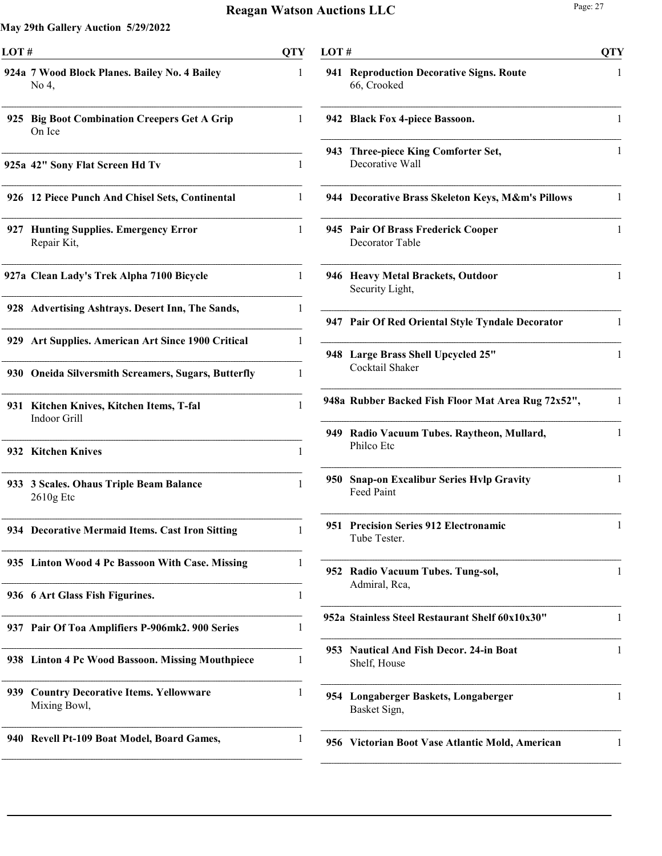| LOT#                                                               | <b>QTY</b> |
|--------------------------------------------------------------------|------------|
| 924a 7 Wood Block Planes. Bailey No. 4 Bailey<br>No 4,             | 1          |
| <b>Big Boot Combination Creepers Get A Grip</b><br>925<br>On Ice   | 1          |
| 925a 42" Sony Flat Screen Hd Tv                                    | 1          |
| 926 12 Piece Punch And Chisel Sets, Continental                    | 1          |
| <b>Hunting Supplies. Emergency Error</b><br>927<br>Repair Kit,     | 1          |
| 927a Clean Lady's Trek Alpha 7100 Bicycle                          | 1          |
| 928 Advertising Ashtrays. Desert Inn, The Sands,                   | 1          |
| Art Supplies. American Art Since 1900 Critical<br>929              | 1          |
| 930 Oneida Silversmith Screamers, Sugars, Butterfly                | 1          |
| Kitchen Knives, Kitchen Items, T-fal<br>931<br>Indoor Grill        | 1          |
| 932 Kitchen Knives                                                 | 1          |
| 3 Scales. Ohaus Triple Beam Balance<br><b>933</b><br>$2610g$ Etc   | 1          |
| 934 Decorative Mermaid Items. Cast Iron Sitting                    |            |
| 935<br><b>Linton Wood 4 Pc Bassoon With Case. Missing</b>          | 1          |
| 936 6 Art Glass Fish Figurines.                                    | 1          |
| 937 Pair Of Toa Amplifiers P-906mk2. 900 Series                    | 1          |
| <b>Linton 4 Pc Wood Bassoon. Missing Mouthpiece</b><br>938         | 1          |
| <b>Country Decorative Items. Yellowware</b><br>939<br>Mixing Bowl, | 1          |
| <b>Revell Pt-109 Boat Model, Board Games,</b><br>940               | 1          |

| LOT# |                                                                   | <b>QTY</b>   |
|------|-------------------------------------------------------------------|--------------|
| 941  | <b>Reproduction Decorative Signs. Route</b><br>66, Crooked        | 1            |
|      | 942 Black Fox 4-piece Bassoon.                                    | 1            |
| 943  | <b>Three-piece King Comforter Set,</b><br>Decorative Wall         | 1            |
|      | 944 Decorative Brass Skeleton Keys, M&m's Pillows                 | 1            |
|      | 945 Pair Of Brass Frederick Cooper<br>Decorator Table             | 1            |
|      | 946 Heavy Metal Brackets, Outdoor<br>Security Light,              | 1            |
|      | 947 Pair Of Red Oriental Style Tyndale Decorator                  | 1            |
|      | 948 Large Brass Shell Upcycled 25"<br>Cocktail Shaker             | 1            |
|      | 948a Rubber Backed Fish Floor Mat Area Rug 72x52",                | 1            |
|      | 949 Radio Vacuum Tubes. Raytheon, Mullard,<br>Philco Etc          | $\mathbf{1}$ |
| 950  | <b>Snap-on Excalibur Series Hvlp Gravity</b><br><b>Feed Paint</b> | $\mathbf{1}$ |
| 951  | <b>Precision Series 912 Electronamic</b><br>Tube Tester.          | $\mathbf{1}$ |
| 952  | Radio Vacuum Tubes. Tung-sol,<br>Admiral, Rca,                    | 1            |
|      | 952a Stainless Steel Restaurant Shelf 60x10x30"                   | 1            |
| 953  | <b>Nautical And Fish Decor. 24-in Boat</b><br>Shelf, House        | 1            |
| 954  | Longaberger Baskets, Longaberger<br>Basket Sign,                  | 1            |
|      | 956 Victorian Boot Vase Atlantic Mold, American                   | 1            |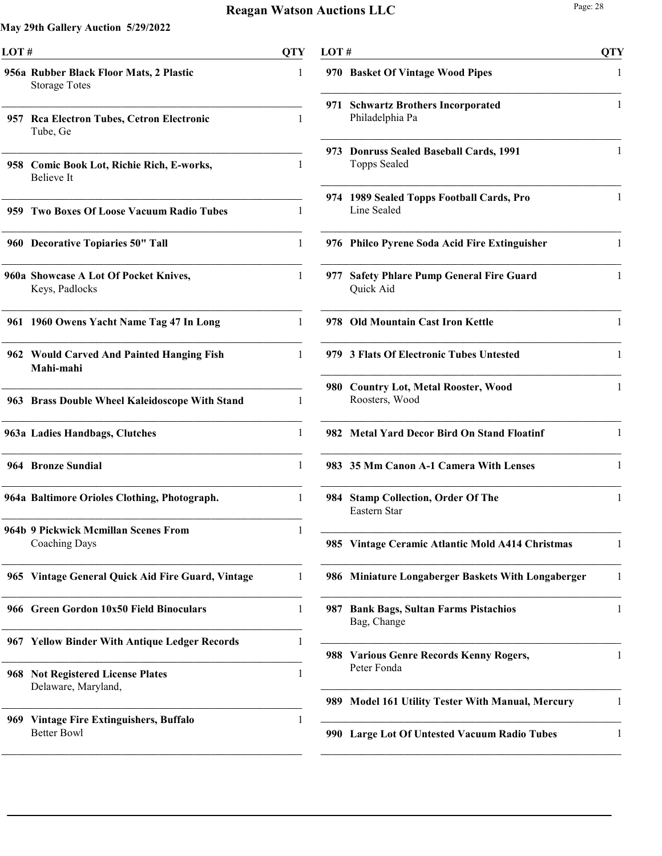$\overline{a}$ 

| LOT# |                                                                  | QTY |
|------|------------------------------------------------------------------|-----|
|      | 956a Rubber Black Floor Mats, 2 Plastic<br><b>Storage Totes</b>  | 1   |
| 957  | <b>Rea Electron Tubes, Cetron Electronic</b><br>Tube, Ge         | 1   |
|      | 958 Comic Book Lot, Richie Rich, E-works,<br><b>Believe</b> It   | 1   |
| 959- | <b>Two Boxes Of Loose Vacuum Radio Tubes</b>                     | 1   |
|      | 960 Decorative Topiaries 50" Tall                                | 1   |
|      | 960a Showcase A Lot Of Pocket Knives,<br>Keys, Padlocks          | 1   |
| 961  | 1960 Owens Yacht Name Tag 47 In Long                             | 1   |
|      | 962 Would Carved And Painted Hanging Fish<br>Mahi-mahi           | 1   |
|      | 963 Brass Double Wheel Kaleidoscope With Stand                   | 1   |
|      | 963a Ladies Handbags, Clutches                                   | 1   |
|      | 964 Bronze Sundial                                               | 1   |
|      | 964a Baltimore Orioles Clothing, Photograph.                     | 1   |
|      | 964b 9 Pickwick Mcmillan Scenes From<br><b>Coaching Days</b>     | 1   |
|      | 965 Vintage General Quick Aid Fire Guard, Vintage                | 1   |
|      | 966 Green Gordon 10x50 Field Binoculars                          | 1   |
|      | 967 Yellow Binder With Antique Ledger Records                    | 1   |
|      | 968 Not Registered License Plates<br>Delaware, Maryland,         | 1   |
| 969  | <b>Vintage Fire Extinguishers, Buffalo</b><br><b>Better Bowl</b> | 1   |

| LOT # |                                                            | QTY |
|-------|------------------------------------------------------------|-----|
| 970   | <b>Basket Of Vintage Wood Pipes</b>                        | 1   |
| 971   | <b>Schwartz Brothers Incorporated</b><br>Philadelphia Pa   | 1   |
| 973.  | <b>Donruss Sealed Baseball Cards, 1991</b><br>Topps Sealed | 1   |
| 974   | 1989 Sealed Topps Football Cards, Pro<br>Line Sealed       | 1   |
|       | 976 Philco Pyrene Soda Acid Fire Extinguisher              | 1   |
| 977   | <b>Safety Phlare Pump General Fire Guard</b><br>Quick Aid  | 1   |
|       | 978 Old Mountain Cast Iron Kettle                          | 1   |
|       | 979 3 Flats Of Electronic Tubes Untested                   | 1   |
| 980   | <b>Country Lot, Metal Rooster, Wood</b><br>Roosters, Wood  | 1   |
| 982.  | <b>Metal Yard Decor Bird On Stand Floatinf</b>             | 1   |
|       | 983 35 Mm Canon A-1 Camera With Lenses                     | 1   |
| 984   | <b>Stamp Collection, Order Of The</b><br>Eastern Star      | 1   |
|       | 985 Vintage Ceramic Atlantic Mold A414 Christmas           | 1   |
| 986   | <b>Miniature Longaberger Baskets With Longaberger</b>      | 1   |
| 987   | <b>Bank Bags, Sultan Farms Pistachios</b><br>Bag, Change   | 1   |
| 988   | <b>Various Genre Records Kenny Rogers,</b><br>Peter Fonda  | 1   |
| 989   | <b>Model 161 Utility Tester With Manual, Mercury</b>       | 1   |
| 990   | Large Lot Of Untested Vacuum Radio Tubes                   | 1   |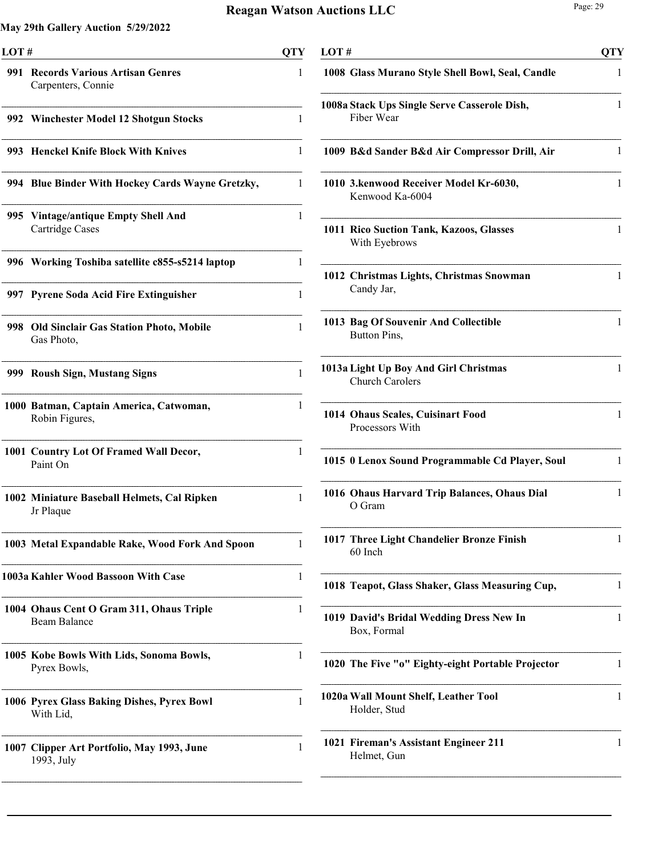| LOT#  |                                                                 | QTY |
|-------|-----------------------------------------------------------------|-----|
| 991   | <b>Records Various Artisan Genres</b><br>Carpenters, Connie     | 1   |
|       | 992 Winchester Model 12 Shotgun Stocks                          | 1   |
| 993   | <b>Henckel Knife Block With Knives</b>                          | 1   |
|       | 994 Blue Binder With Hockey Cards Wayne Gretzky,                | 1   |
|       | 995 Vintage/antique Empty Shell And<br>Cartridge Cases          | 1   |
|       | 996 Working Toshiba satellite c855-s5214 laptop                 | 1   |
|       | 997 Pyrene Soda Acid Fire Extinguisher                          | 1   |
| 998 - | <b>Old Sinclair Gas Station Photo, Mobile</b><br>Gas Photo,     | 1   |
|       | 999 Roush Sign, Mustang Signs                                   | 1   |
|       | 1000 Batman, Captain America, Catwoman,<br>Robin Figures,       | 1   |
|       | 1001 Country Lot Of Framed Wall Decor,<br>Paint On              | 1   |
|       | 1002 Miniature Baseball Helmets, Cal Ripken<br>Jr Plaque        | 1   |
|       | 1003 Metal Expandable Rake, Wood Fork And Spoon                 | 1   |
|       | 1003a Kahler Wood Bassoon With Case                             | 1   |
|       | 1004 Ohaus Cent O Gram 311, Ohaus Triple<br><b>Beam Balance</b> | 1   |
|       | 1005 Kobe Bowls With Lids, Sonoma Bowls,<br>Pyrex Bowls,        | 1   |
|       | 1006 Pyrex Glass Baking Dishes, Pyrex Bowl<br>With Lid,         | 1   |
|       | 1007 Clipper Art Portfolio, May 1993, June<br>1993, July        | 1   |

| LOT#                                                            | <b>QTY</b> |
|-----------------------------------------------------------------|------------|
| 1008 Glass Murano Style Shell Bowl, Seal, Candle                | 1          |
| 1008a Stack Ups Single Serve Casserole Dish,<br>Fiber Wear      | 1          |
| 1009 B&d Sander B&d Air Compressor Drill, Air                   | 1          |
| 1010 3. kenwood Receiver Model Kr-6030,<br>Kenwood Ka-6004      | 1          |
| 1011 Rico Suction Tank, Kazoos, Glasses<br>With Eyebrows        | 1          |
| 1012 Christmas Lights, Christmas Snowman<br>Candy Jar,          | 1          |
| 1013 Bag Of Souvenir And Collectible<br>Button Pins,            | 1          |
| 1013a Light Up Boy And Girl Christmas<br><b>Church Carolers</b> | 1          |
| 1014 Ohaus Scales, Cuisinart Food<br>Processors With            | 1          |
| 1015 0 Lenox Sound Programmable Cd Player, Soul                 | 1          |
| 1016 Ohaus Harvard Trip Balances, Ohaus Dial<br>O Gram          | 1          |
| 1017 Three Light Chandelier Bronze Finish<br>60 Inch            | 1          |
| 1018 Teapot, Glass Shaker, Glass Measuring Cup,                 | 1          |
| 1019 David's Bridal Wedding Dress New In<br>Box, Formal         | 1          |
| 1020 The Five "o" Eighty-eight Portable Projector               | 1          |
| 1020a Wall Mount Shelf, Leather Tool<br>Holder, Stud            | 1          |
| 1021 Fireman's Assistant Engineer 211<br>Helmet, Gun            | 1          |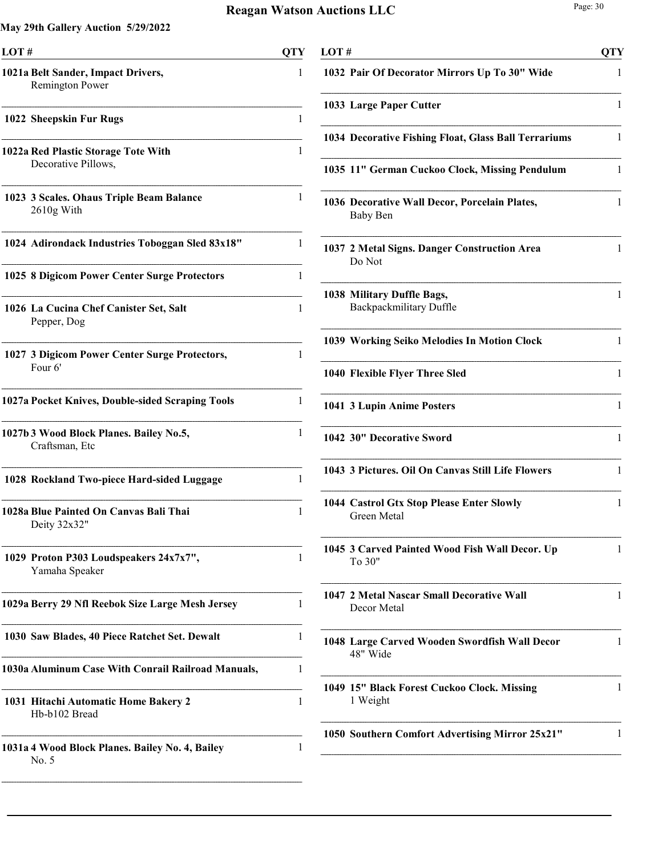| LOT#                                                         | OTY |
|--------------------------------------------------------------|-----|
| 1021a Belt Sander, Impact Drivers,<br><b>Remington Power</b> | 1   |
| 1022 Sheepskin Fur Rugs                                      | 1   |
| 1022a Red Plastic Storage Tote With<br>Decorative Pillows,   | 1   |
| 1023 3 Scales. Ohaus Triple Beam Balance<br>$2610g$ With     | 1   |
| 1024 Adirondack Industries Toboggan Sled 83x18"              | 1   |
| 1025 8 Digicom Power Center Surge Protectors                 | 1   |
| 1026 La Cucina Chef Canister Set, Salt<br>Pepper, Dog        | 1   |
| 1027 3 Digicom Power Center Surge Protectors,<br>Four 6'     | 1   |
| 1027a Pocket Knives, Double-sided Scraping Tools             | 1   |
| 1027b 3 Wood Block Planes. Bailey No.5,<br>Craftsman, Etc    | 1   |
| 1028 Rockland Two-piece Hard-sided Luggage                   | 1   |
| 1028a Blue Painted On Canvas Bali Thai<br>Deity 32x32"       | 1   |
| 1029 Proton P303 Loudspeakers 24x7x7",<br>Yamaha Speaker     | 1   |
| 1029a Berry 29 Nfl Reebok Size Large Mesh Jersey             | 1   |
| 1030 Saw Blades, 40 Piece Ratchet Set. Dewalt                | 1   |
| 1030a Aluminum Case With Conrail Railroad Manuals,           | 1   |
| 1031 Hitachi Automatic Home Bakery 2<br>Hb-b102 Bread        | 1   |
| 1031a 4 Wood Block Planes. Bailey No. 4, Bailey<br>No. 5     | 1   |

| LOT# |                                                                  | <b>QTY</b> |
|------|------------------------------------------------------------------|------------|
|      | 1032 Pair Of Decorator Mirrors Up To 30" Wide                    | 1          |
|      | 1033 Large Paper Cutter                                          | 1          |
|      | 1034 Decorative Fishing Float, Glass Ball Terrariums             | 1          |
|      | 1035 11" German Cuckoo Clock, Missing Pendulum                   | 1          |
|      | 1036 Decorative Wall Decor, Porcelain Plates,<br><b>Baby Ben</b> | 1          |
|      | 1037 2 Metal Signs. Danger Construction Area<br>Do Not           | 1          |
|      | 1038 Military Duffle Bags,<br>Backpackmilitary Duffle            | 1          |
|      | 1039 Working Seiko Melodies In Motion Clock                      | 1          |
|      | 1040 Flexible Flyer Three Sled                                   | 1          |
|      | 1041 3 Lupin Anime Posters                                       | 1          |
|      | 1042 30" Decorative Sword                                        | 1          |
|      | 1043 3 Pictures. Oil On Canvas Still Life Flowers                | 1          |
|      | 1044 Castrol Gtx Stop Please Enter Slowly<br><b>Green Metal</b>  | 1          |
|      | 1045 3 Carved Painted Wood Fish Wall Decor. Up<br>To 30"         | 1          |
|      | 1047 2 Metal Nascar Small Decorative Wall<br>Decor Metal         | 1          |
|      | 1048 Large Carved Wooden Swordfish Wall Decor<br>48" Wide        | 1          |
|      | 1049 15" Black Forest Cuckoo Clock. Missing<br>1 Weight          | 1          |
|      | 1050 Southern Comfort Advertising Mirror 25x21"                  | 1          |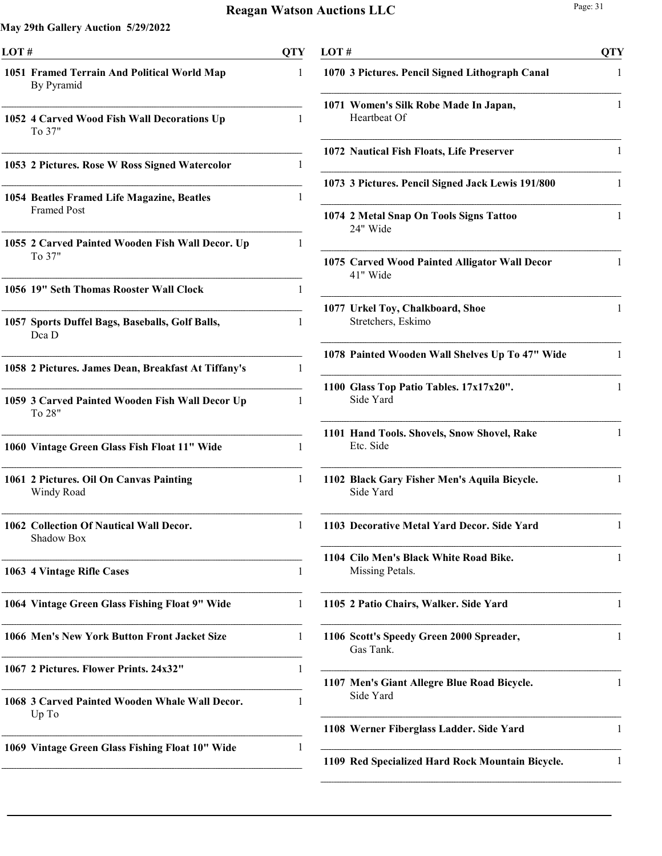| LOT# |                                                                  | QTY |
|------|------------------------------------------------------------------|-----|
|      | 1051 Framed Terrain And Political World Map<br>By Pyramid        | 1   |
|      | 1052 4 Carved Wood Fish Wall Decorations Up<br>To 37"            | 1   |
|      | 1053 2 Pictures. Rose W Ross Signed Watercolor                   | 1   |
|      | 1054 Beatles Framed Life Magazine, Beatles<br><b>Framed Post</b> | 1   |
|      | 1055 2 Carved Painted Wooden Fish Wall Decor. Up<br>To 37"       | 1   |
|      | 1056 19" Seth Thomas Rooster Wall Clock                          | 1   |
|      | 1057 Sports Duffel Bags, Baseballs, Golf Balls,<br>Dea D         | 1   |
|      | 1058 2 Pictures. James Dean, Breakfast At Tiffany's              | 1   |
|      | 1059 3 Carved Painted Wooden Fish Wall Decor Up<br>To 28"        | 1   |
|      | 1060 Vintage Green Glass Fish Float 11" Wide                     | 1   |
|      | 1061 2 Pictures. Oil On Canvas Painting<br>Windy Road            | 1   |
|      | 1062 Collection Of Nautical Wall Decor.<br>Shadow Box            | L   |
|      | 1063 4 Vintage Rifle Cases                                       | 1   |
|      | 1064 Vintage Green Glass Fishing Float 9" Wide                   | 1   |
|      | 1066 Men's New York Button Front Jacket Size                     | 1   |
|      | 1067 2 Pictures. Flower Prints. 24x32"                           | 1   |
|      | 1068 3 Carved Painted Wooden Whale Wall Decor.<br>Up To          | 1   |
|      | 1069 Vintage Green Glass Fishing Float 10" Wide                  | 1   |
|      |                                                                  |     |

| LOT#                                                      | <b>QTY</b> |
|-----------------------------------------------------------|------------|
| 1070 3 Pictures. Pencil Signed Lithograph Canal           | 1          |
| 1071 Women's Silk Robe Made In Japan,<br>Heartbeat Of     | 1          |
| 1072 Nautical Fish Floats, Life Preserver                 | 1          |
| 1073 3 Pictures. Pencil Signed Jack Lewis 191/800         | 1          |
| 1074 2 Metal Snap On Tools Signs Tattoo<br>24" Wide       | 1          |
| 1075 Carved Wood Painted Alligator Wall Decor<br>41" Wide | 1          |
| 1077 Urkel Toy, Chalkboard, Shoe<br>Stretchers, Eskimo    | 1          |
| 1078 Painted Wooden Wall Shelves Up To 47" Wide           | 1          |
| 1100 Glass Top Patio Tables. 17x17x20".<br>Side Yard      | 1          |
| 1101 Hand Tools. Shovels, Snow Shovel, Rake<br>Etc. Side  | 1          |
| 1102 Black Gary Fisher Men's Aquila Bicycle.<br>Side Yard | 1          |
| 1103 Decorative Metal Yard Decor. Side Yard               | L          |
| 1104 Cilo Men's Black White Road Bike.<br>Missing Petals. | 1          |
| 1105 2 Patio Chairs, Walker. Side Yard                    | 1          |
| 1106 Scott's Speedy Green 2000 Spreader,<br>Gas Tank.     | 1          |
| 1107 Men's Giant Allegre Blue Road Bicycle.<br>Side Yard  | 1          |
| 1108 Werner Fiberglass Ladder. Side Yard                  | 1          |
| 1109 Red Specialized Hard Rock Mountain Bicycle.          | 1          |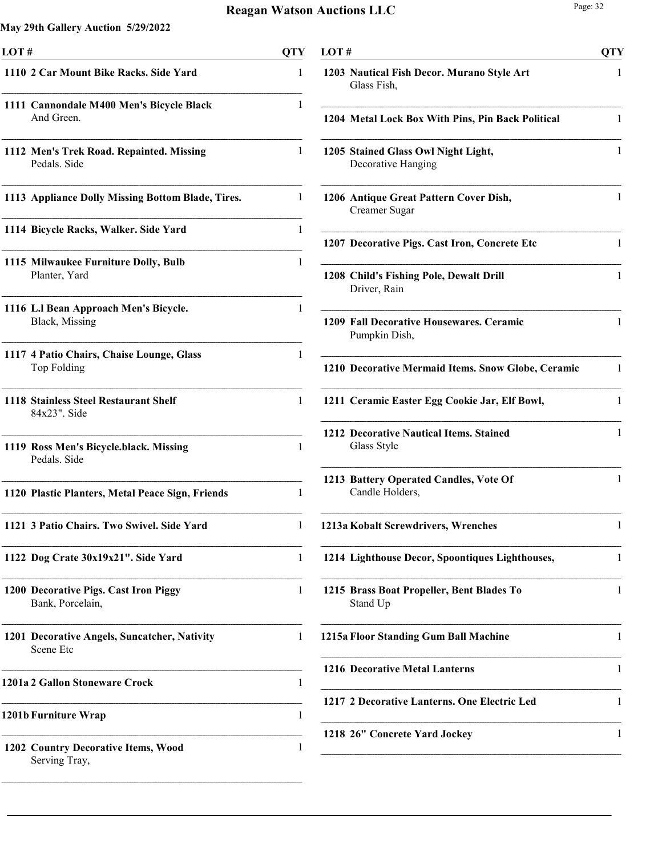| LOT#                                                      | <b>QTY</b>   | LOT#                                                      | <b>QTY</b> |
|-----------------------------------------------------------|--------------|-----------------------------------------------------------|------------|
| 1110 2 Car Mount Bike Racks. Side Yard                    | 1            | 1203 Nautical Fish Decor. Murano Style Art<br>Glass Fish, | -1         |
| 1111 Cannondale M400 Men's Bicycle Black<br>And Green.    | 1            | 1204 Metal Lock Box With Pins, Pin Back Political         | 1          |
| 1112 Men's Trek Road. Repainted. Missing<br>Pedals. Side  | -1           | 1205 Stained Glass Owl Night Light,<br>Decorative Hanging | 1          |
| 1113 Appliance Dolly Missing Bottom Blade, Tires.         | 1            | 1206 Antique Great Pattern Cover Dish,<br>Creamer Sugar   |            |
| 1114 Bicycle Racks, Walker. Side Yard                     |              | 1207 Decorative Pigs. Cast Iron, Concrete Etc             |            |
| 1115 Milwaukee Furniture Dolly, Bulb<br>Planter, Yard     |              | 1208 Child's Fishing Pole, Dewalt Drill<br>Driver, Rain   | 1          |
| 1116 L.I Bean Approach Men's Bicycle.<br>Black, Missing   |              | 1209 Fall Decorative Housewares. Ceramic<br>Pumpkin Dish, | 1          |
| 1117 4 Patio Chairs, Chaise Lounge, Glass<br>Top Folding  |              | 1210 Decorative Mermaid Items. Snow Globe, Ceramic        | -1         |
| 1118 Stainless Steel Restaurant Shelf<br>84x23". Side     | $\mathbf{1}$ | 1211 Ceramic Easter Egg Cookie Jar, Elf Bowl,             | 1          |
| 1119 Ross Men's Bicycle.black. Missing<br>Pedals. Side    | 1            | 1212 Decorative Nautical Items. Stained<br>Glass Style    | 1          |
| 1120 Plastic Planters, Metal Peace Sign, Friends          | 1            | 1213 Battery Operated Candles, Vote Of<br>Candle Holders, | 1          |
| 1121 3 Patio Chairs. Two Swivel. Side Yard                |              | 1213a Kobalt Screwdrivers, Wrenches                       |            |
| 1122 Dog Crate 30x19x21". Side Yard                       | $\mathbf{1}$ | 1214 Lighthouse Decor, Spoontiques Lighthouses,           | 1          |
| 1200 Decorative Pigs. Cast Iron Piggy<br>Bank, Porcelain, | $\mathbf{1}$ | 1215 Brass Boat Propeller, Bent Blades To<br>Stand Up     | 1          |
| 1201 Decorative Angels, Suncatcher, Nativity<br>Scene Etc | -1           | 1215a Floor Standing Gum Ball Machine                     | 1          |
| 1201a 2 Gallon Stoneware Crock                            | 1            | 1216 Decorative Metal Lanterns                            | 1          |
| 1201b Furniture Wrap                                      | 1            | 1217 2 Decorative Lanterns. One Electric Led              |            |
| 1202 Country Decorative Items, Wood<br>Serving Tray,      | 1            | 1218 26" Concrete Yard Jockey                             | 1          |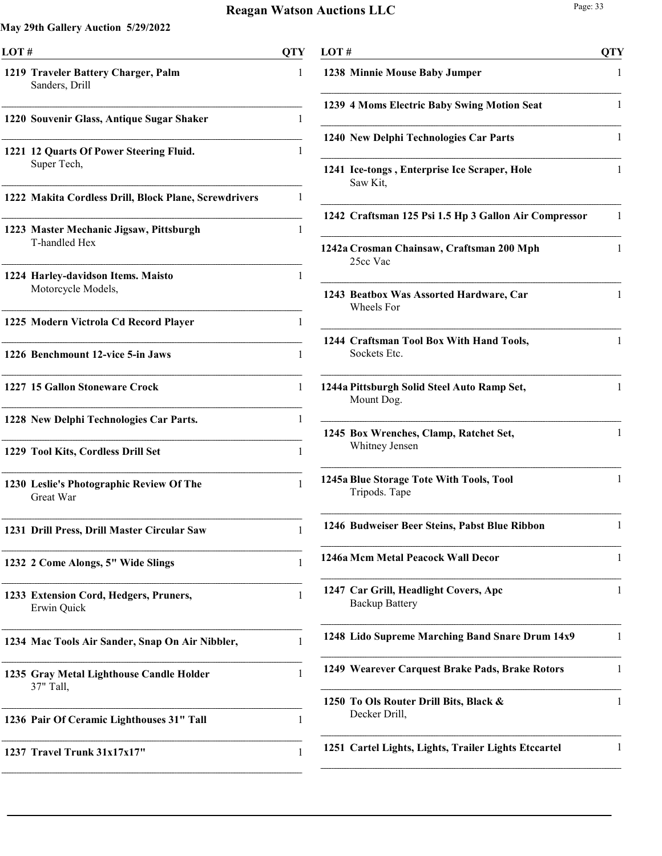| LOT# |                                                          | OTY |
|------|----------------------------------------------------------|-----|
|      | 1219 Traveler Battery Charger, Palm<br>Sanders, Drill    | L   |
|      | 1220 Souvenir Glass, Antique Sugar Shaker                | 1   |
|      | 1221 12 Quarts Of Power Steering Fluid.<br>Super Tech,   | 1   |
|      | 1222 Makita Cordless Drill, Block Plane, Screwdrivers    | 1   |
|      | 1223 Master Mechanic Jigsaw, Pittsburgh<br>T-handled Hex | 1   |
|      | 1224 Harley-davidson Items. Maisto<br>Motorcycle Models, | 1   |
|      | 1225 Modern Victrola Cd Record Player                    | 1   |
|      | 1226 Benchmount 12-vice 5-in Jaws                        | 1   |
|      | 1227 15 Gallon Stoneware Crock                           | 1   |
|      | 1228 New Delphi Technologies Car Parts.                  | 1   |
|      | 1229 Tool Kits, Cordless Drill Set                       | 1   |
|      | 1230 Leslie's Photographic Review Of The<br>Great War    | 1   |
|      | 1231 Drill Press, Drill Master Circular Saw              | 1   |
|      | 1232 2 Come Alongs, 5" Wide Slings                       | 1   |
|      | 1233 Extension Cord, Hedgers, Pruners,<br>Erwin Quick    | 1   |
|      | 1234 Mac Tools Air Sander, Snap On Air Nibbler,          | 1   |
|      | 1235 Gray Metal Lighthouse Candle Holder<br>37" Tall,    | 1   |
|      | 1236 Pair Of Ceramic Lighthouses 31" Tall                | 1   |
|      | 1237 Travel Trunk 31x17x17"                              | 1   |
|      |                                                          |     |

| LOT# |                                                                | <b>QTY</b> |
|------|----------------------------------------------------------------|------------|
|      | 1238 Minnie Mouse Baby Jumper                                  | 1          |
|      | 1239 4 Moms Electric Baby Swing Motion Seat                    | 1          |
|      | 1240 New Delphi Technologies Car Parts                         | 1          |
|      | 1241 Ice-tongs, Enterprise Ice Scraper, Hole<br>Saw Kit,       | 1          |
|      | 1242 Craftsman 125 Psi 1.5 Hp 3 Gallon Air Compressor          | 1          |
|      | 1242a Crosman Chainsaw, Craftsman 200 Mph<br>25cc Vac          | 1          |
|      | 1243 Beatbox Was Assorted Hardware, Car<br>Wheels For          | 1          |
|      | 1244 Craftsman Tool Box With Hand Tools,<br>Sockets Etc.       | 1          |
|      | 1244a Pittsburgh Solid Steel Auto Ramp Set,<br>Mount Dog.      | 1          |
|      | 1245 Box Wrenches, Clamp, Ratchet Set,<br>Whitney Jensen       | 1          |
|      | 1245a Blue Storage Tote With Tools, Tool<br>Tripods. Tape      | 1          |
|      | 1246 Budweiser Beer Steins, Pabst Blue Ribbon                  | 1          |
|      | 1246a Mcm Metal Peacock Wall Decor                             | 1          |
|      | 1247 Car Grill, Headlight Covers, Apc<br><b>Backup Battery</b> | 1          |
|      | 1248 Lido Supreme Marching Band Snare Drum 14x9                | 1          |
|      | 1249 Wearever Carquest Brake Pads, Brake Rotors                | 1          |
|      | 1250 To Ols Router Drill Bits, Black &<br>Decker Drill,        | 1          |
|      | 1251 Cartel Lights, Lights, Trailer Lights Etccartel           | 1          |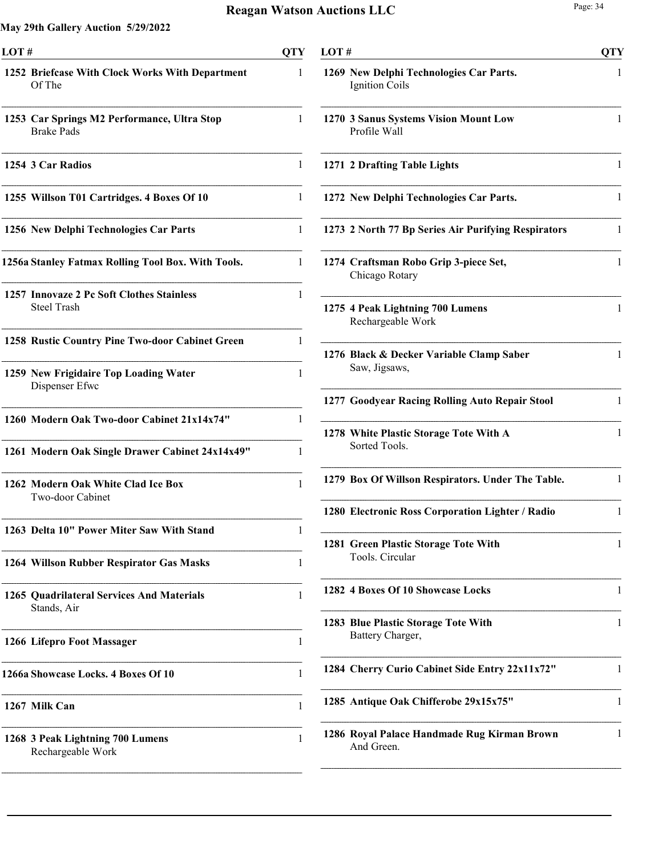| LOT# |                                                                  | <b>OTY</b> |
|------|------------------------------------------------------------------|------------|
|      | 1252 Briefcase With Clock Works With Department<br>Of The        | 1          |
|      | 1253 Car Springs M2 Performance, Ultra Stop<br><b>Brake Pads</b> | 1          |
|      | 1254 3 Car Radios                                                | 1          |
|      | 1255 Willson T01 Cartridges. 4 Boxes Of 10                       | 1          |
|      | 1256 New Delphi Technologies Car Parts                           | 1          |
|      | 1256a Stanley Fatmax Rolling Tool Box. With Tools.               | 1          |
|      | 1257 Innovaze 2 Pc Soft Clothes Stainless<br><b>Steel Trash</b>  | 1          |
|      | 1258 Rustic Country Pine Two-door Cabinet Green                  | 1          |
|      | 1259 New Frigidaire Top Loading Water<br>Dispenser Efwc          | 1          |
|      | 1260 Modern Oak Two-door Cabinet 21x14x74"                       | 1          |
|      | 1261 Modern Oak Single Drawer Cabinet 24x14x49"                  | 1          |
|      | 1262 Modern Oak White Clad Ice Box<br>Two-door Cabinet           | 1          |
|      | 1263 Delta 10" Power Miter Saw With Stand                        | 1          |
|      | 1264 Willson Rubber Respirator Gas Masks                         | 1          |
|      | 1265 Quadrilateral Services And Materials<br>Stands, Air         | 1          |
|      | 1266 Lifepro Foot Massager                                       | 1          |
|      | 1266a Showcase Locks. 4 Boxes Of 10                              | 1          |
|      | 1267 Milk Can                                                    | 1          |
|      | 1268 3 Peak Lightning 700 Lumens<br>Rechargeable Work            | 1          |

| LOT# |                                                                  | <b>QTY</b> |
|------|------------------------------------------------------------------|------------|
|      | 1269 New Delphi Technologies Car Parts.<br><b>Ignition Coils</b> | 1          |
|      | 1270 3 Sanus Systems Vision Mount Low<br>Profile Wall            | 1          |
|      | 1271 2 Drafting Table Lights                                     | 1          |
|      | 1272 New Delphi Technologies Car Parts.                          | 1          |
|      | 1273 2 North 77 Bp Series Air Purifying Respirators              | 1          |
|      | 1274 Craftsman Robo Grip 3-piece Set,<br>Chicago Rotary          | 1          |
|      | 1275 4 Peak Lightning 700 Lumens<br>Rechargeable Work            | 1          |
|      | 1276 Black & Decker Variable Clamp Saber<br>Saw, Jigsaws,        | 1          |
|      | 1277 Goodyear Racing Rolling Auto Repair Stool                   | 1          |
|      | 1278 White Plastic Storage Tote With A<br>Sorted Tools.          | 1          |
|      | 1279 Box Of Willson Respirators. Under The Table.                | 1          |
|      | 1280 Electronic Ross Corporation Lighter / Radio                 | 1          |
|      | 1281 Green Plastic Storage Tote With<br>Tools. Circular          | 1          |
|      | 1282 4 Boxes Of 10 Showcase Locks                                | 1          |
|      | 1283 Blue Plastic Storage Tote With<br>Battery Charger,          | 1          |
|      | 1284 Cherry Curio Cabinet Side Entry 22x11x72"                   | 1          |
|      | 1285 Antique Oak Chifferobe 29x15x75"                            | 1          |
|      | 1286 Royal Palace Handmade Rug Kirman Brown<br>And Green.        | L          |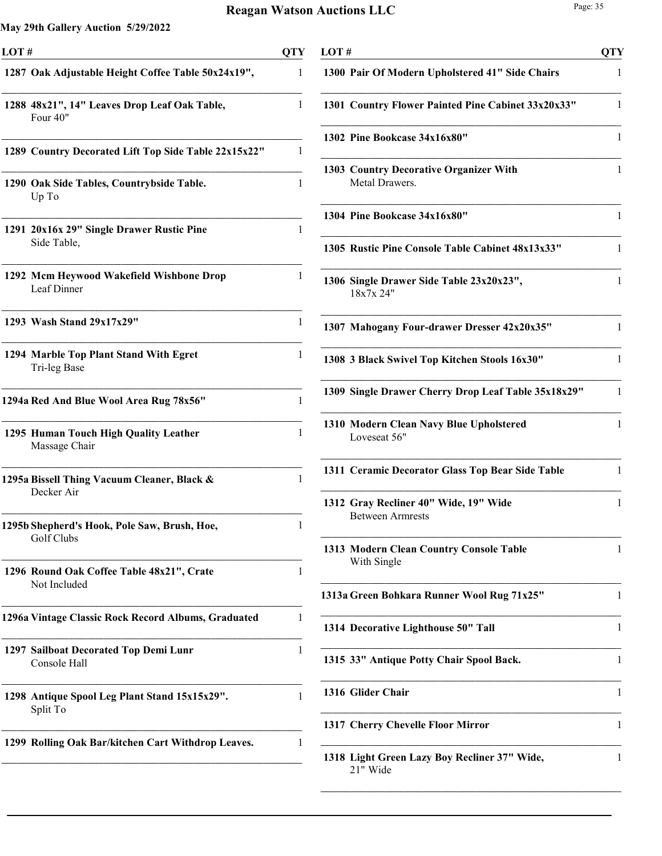| LOT# |                                                            | <b>QTY</b> |
|------|------------------------------------------------------------|------------|
|      | 1287 Oak Adjustable Height Coffee Table 50x24x19",         | 1          |
|      | 1288 48x21", 14" Leaves Drop Leaf Oak Table,<br>Four 40"   | 1          |
|      | 1289 Country Decorated Lift Top Side Table 22x15x22"       | 1          |
|      | 1290 Oak Side Tables, Countrybside Table.<br>Up To         | 1          |
|      | 1291 20x16x 29" Single Drawer Rustic Pine<br>Side Table,   | 1          |
|      | 1292 Mcm Heywood Wakefield Wishbone Drop<br>Leaf Dinner    | 1          |
|      | 1293 Wash Stand 29x17x29"                                  | 1          |
|      | 1294 Marble Top Plant Stand With Egret<br>Tri-leg Base     | 1          |
|      | 1294a Red And Blue Wool Area Rug 78x56"                    | 1          |
|      | 1295 Human Touch High Quality Leather<br>Massage Chair     | 1          |
|      | 1295a Bissell Thing Vacuum Cleaner, Black &<br>Decker Air  | 1          |
|      | 1295b Shepherd's Hook, Pole Saw, Brush, Hoe,<br>Golf Clubs |            |
|      | 1296 Round Oak Coffee Table 48x21", Crate<br>Not Included  | 1          |
|      | 1296a Vintage Classic Rock Record Albums, Graduated        | 1          |
|      | 1297 Sailboat Decorated Top Demi Lunr<br>Console Hall      | 1          |
|      | 1298 Antique Spool Leg Plant Stand 15x15x29".<br>Split To  | 1          |
|      | 1299 Rolling Oak Bar/kitchen Cart Withdrop Leaves.         | 1          |
|      |                                                            |            |

| LOT # |                                                                  | QTY |
|-------|------------------------------------------------------------------|-----|
|       | 1300 Pair Of Modern Upholstered 41" Side Chairs                  | 1   |
|       | 1301 Country Flower Painted Pine Cabinet 33x20x33"               | 1   |
|       | 1302 Pine Bookcase 34x16x80"                                     | 1   |
|       | 1303 Country Decorative Organizer With<br>Metal Drawers.         | 1   |
|       | 1304 Pine Bookcase 34x16x80"                                     | 1   |
|       | 1305 Rustic Pine Console Table Cabinet 48x13x33"                 | 1   |
|       | 1306 Single Drawer Side Table 23x20x23",<br>18x7x 24"            | 1   |
|       | 1307 Mahogany Four-drawer Dresser 42x20x35"                      | 1   |
|       | 1308 3 Black Swivel Top Kitchen Stools 16x30"                    | 1   |
|       | 1309 Single Drawer Cherry Drop Leaf Table 35x18x29"              | 1   |
|       | 1310 Modern Clean Navy Blue Upholstered<br>Loveseat 56"          | 1   |
|       | 1311 Ceramic Decorator Glass Top Bear Side Table                 | 1   |
|       | 1312 Gray Recliner 40" Wide, 19" Wide<br><b>Between Armrests</b> | 1   |
|       | 1313 Modern Clean Country Console Table<br>With Single           | 1   |
|       | 1313a Green Bohkara Runner Wool Rug 71x25"                       | 1   |
|       | 1314 Decorative Lighthouse 50" Tall                              | 1   |
|       | 1315 33" Antique Potty Chair Spool Back.                         | 1   |
|       | 1316 Glider Chair                                                | 1   |
|       | 1317 Cherry Chevelle Floor Mirror                                | 1   |
|       | 1318 Light Green Lazy Boy Recliner 37" Wide,<br>21" Wide         | 1   |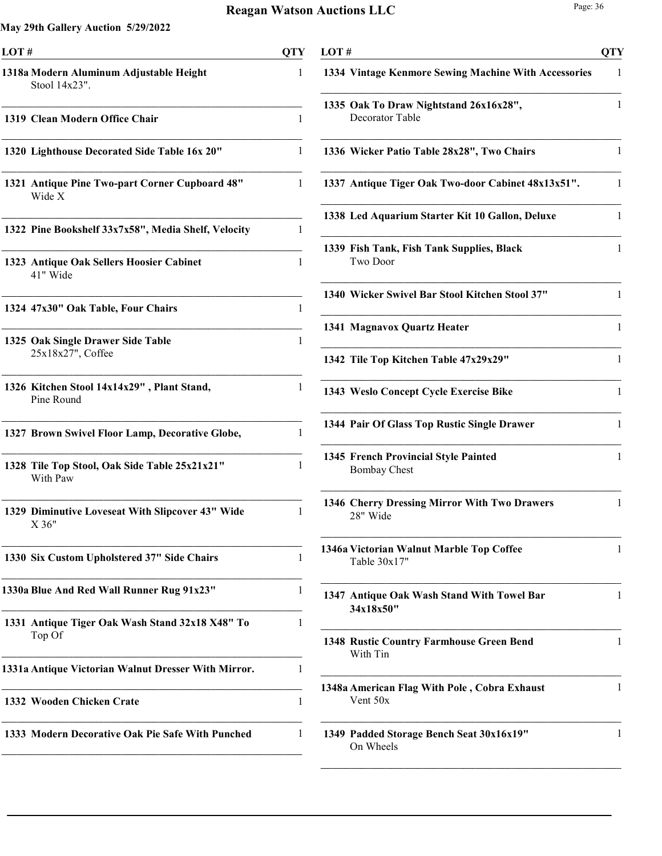| LOT#                                                      | OTY |
|-----------------------------------------------------------|-----|
| 1318a Modern Aluminum Adjustable Height<br>Stool 14x23".  | 1   |
| 1319 Clean Modern Office Chair                            | 1   |
| 1320 Lighthouse Decorated Side Table 16x 20"              | 1   |
| 1321 Antique Pine Two-part Corner Cupboard 48"<br>Wide X  | 1   |
| 1322 Pine Bookshelf 33x7x58", Media Shelf, Velocity       | 1   |
| 1323 Antique Oak Sellers Hoosier Cabinet<br>41" Wide      | 1   |
| 1324 47x30" Oak Table, Four Chairs                        | 1   |
| 1325 Oak Single Drawer Side Table<br>25x18x27", Coffee    | 1   |
| 1326 Kitchen Stool 14x14x29", Plant Stand,<br>Pine Round  | 1   |
| 1327 Brown Swivel Floor Lamp, Decorative Globe,           | 1   |
| 1328 Tile Top Stool, Oak Side Table 25x21x21"<br>With Paw | 1   |
| 1329 Diminutive Loveseat With Slipcover 43" Wide<br>X 36" | 1   |
| 1330 Six Custom Upholstered 37" Side Chairs               | 1   |
| 1330a Blue And Red Wall Runner Rug 91x23"                 | 1   |
| 1331 Antique Tiger Oak Wash Stand 32x18 X48" To<br>Top Of | 1   |
| 1331a Antique Victorian Walnut Dresser With Mirror.       | 1   |
| 1332 Wooden Chicken Crate                                 | 1   |
| 1333 Modern Decorative Oak Pie Safe With Punched          | 1   |

| LOT # |                                                             | <b>QTY</b> |
|-------|-------------------------------------------------------------|------------|
|       | 1334 Vintage Kenmore Sewing Machine With Accessories        | 1          |
|       | 1335 Oak To Draw Nightstand 26x16x28",<br>Decorator Table   | 1          |
|       | 1336 Wicker Patio Table 28x28", Two Chairs                  | 1          |
|       | 1337 Antique Tiger Oak Two-door Cabinet 48x13x51".          | 1          |
|       | 1338 Led Aquarium Starter Kit 10 Gallon, Deluxe             | 1          |
|       | 1339 Fish Tank, Fish Tank Supplies, Black<br>Two Door       | 1          |
|       | 1340 Wicker Swivel Bar Stool Kitchen Stool 37"              | 1          |
|       | 1341 Magnavox Quartz Heater                                 | 1          |
|       | 1342 Tile Top Kitchen Table 47x29x29"                       | 1          |
|       | 1343 Weslo Concept Cycle Exercise Bike                      | 1          |
|       | 1344 Pair Of Glass Top Rustic Single Drawer                 | 1          |
|       | 1345 French Provincial Style Painted<br><b>Bombay Chest</b> | 1          |
|       | 1346 Cherry Dressing Mirror With Two Drawers<br>28" Wide    | 1          |
|       | 1346a Victorian Walnut Marble Top Coffee<br>Table $30x17"$  | 1          |
|       | 1347 Antique Oak Wash Stand With Towel Bar<br>34x18x50"     | 1          |
|       | <b>1348 Rustic Country Farmhouse Green Bend</b><br>With Tin | 1          |
|       | 1348a American Flag With Pole, Cobra Exhaust<br>Vent $50x$  | 1          |
|       | 1349 Padded Storage Bench Seat 30x16x19"<br>On Wheels       | 1          |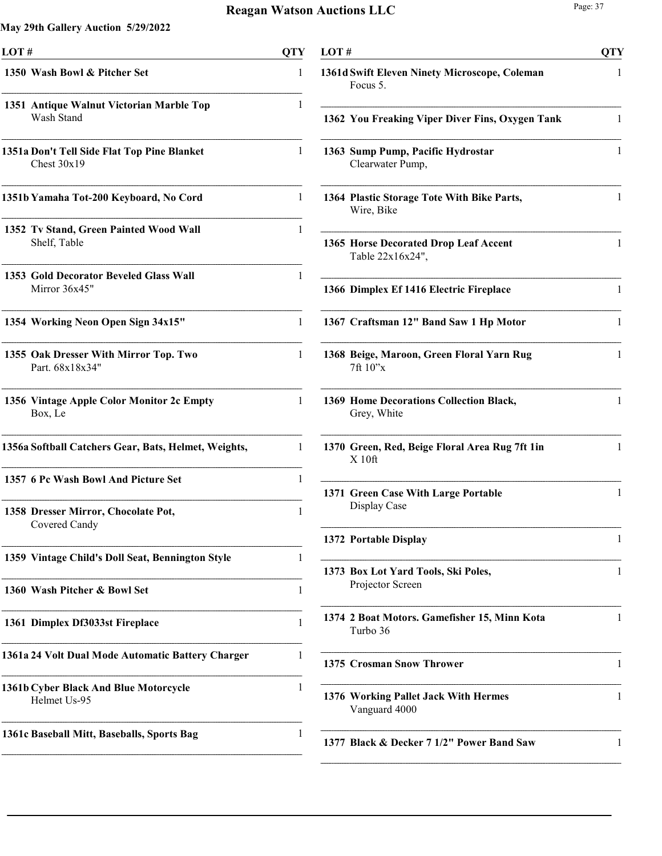| LOT# |                                                              | QTY |
|------|--------------------------------------------------------------|-----|
|      | 1350 Wash Bowl & Pitcher Set                                 | 1   |
|      | 1351 Antique Walnut Victorian Marble Top<br>Wash Stand       | 1   |
|      | 1351a Don't Tell Side Flat Top Pine Blanket<br>Chest $30x19$ | 1   |
|      | 1351b Yamaha Tot-200 Keyboard, No Cord                       | 1   |
|      | 1352 Tv Stand, Green Painted Wood Wall<br>Shelf, Table       | 1   |
|      | 1353 Gold Decorator Beveled Glass Wall<br>Mirror 36x45"      | 1   |
|      | 1354 Working Neon Open Sign 34x15"                           | 1   |
|      | 1355 Oak Dresser With Mirror Top. Two<br>Part. 68x18x34"     | 1   |
|      | 1356 Vintage Apple Color Monitor 2c Empty<br>Box, Le         | 1   |
|      | 1356a Softball Catchers Gear, Bats, Helmet, Weights,         | 1   |
|      | 1357 6 Pc Wash Bowl And Picture Set                          | 1   |
|      | 1358 Dresser Mirror, Chocolate Pot,<br>Covered Candy         | 1   |
|      | 1359 Vintage Child's Doll Seat, Bennington Style             | 1   |
|      | 1360 Wash Pitcher & Bowl Set                                 | 1   |
|      | 1361 Dimplex Df3033st Fireplace                              | 1   |
|      | 1361a 24 Volt Dual Mode Automatic Battery Charger            | 1   |
|      | 1361b Cyber Black And Blue Motorcycle<br>Helmet Us-95        | 1   |
|      | 1361c Baseball Mitt, Baseballs, Sports Bag                   | 1   |

| LOT# |                                                           | QTY |
|------|-----------------------------------------------------------|-----|
|      | 1361d Swift Eleven Ninety Microscope, Coleman<br>Focus 5. | 1   |
|      | 1362 You Freaking Viper Diver Fins, Oxygen Tank           | 1   |
|      | 1363 Sump Pump, Pacific Hydrostar<br>Clearwater Pump,     | 1   |
|      | 1364 Plastic Storage Tote With Bike Parts,<br>Wire, Bike  | 1   |
|      | 1365 Horse Decorated Drop Leaf Accent<br>Table 22x16x24", | 1   |
|      | 1366 Dimplex Ef 1416 Electric Fireplace                   | 1   |
|      | 1367 Craftsman 12" Band Saw 1 Hp Motor                    | 1   |
|      | 1368 Beige, Maroon, Green Floral Yarn Rug<br>7ft 10"x     | 1   |
|      | 1369 Home Decorations Collection Black,<br>Grey, White    | 1   |
|      | 1370 Green, Red, Beige Floral Area Rug 7ft 1in<br>X10ft   | 1   |
|      | 1371 Green Case With Large Portable<br>Display Case       | 1   |
|      | 1372 Portable Display                                     | 1   |
|      | 1373 Box Lot Yard Tools, Ski Poles,<br>Projector Screen   | 1   |
|      | 1374 2 Boat Motors. Gamefisher 15, Minn Kota<br>Turbo 36  | 1   |
|      | 1375 Crosman Snow Thrower                                 | 1   |
|      | 1376 Working Pallet Jack With Hermes<br>Vanguard 4000     | 1   |
|      | 1377 Black & Decker 7 1/2" Power Band Saw                 | 1   |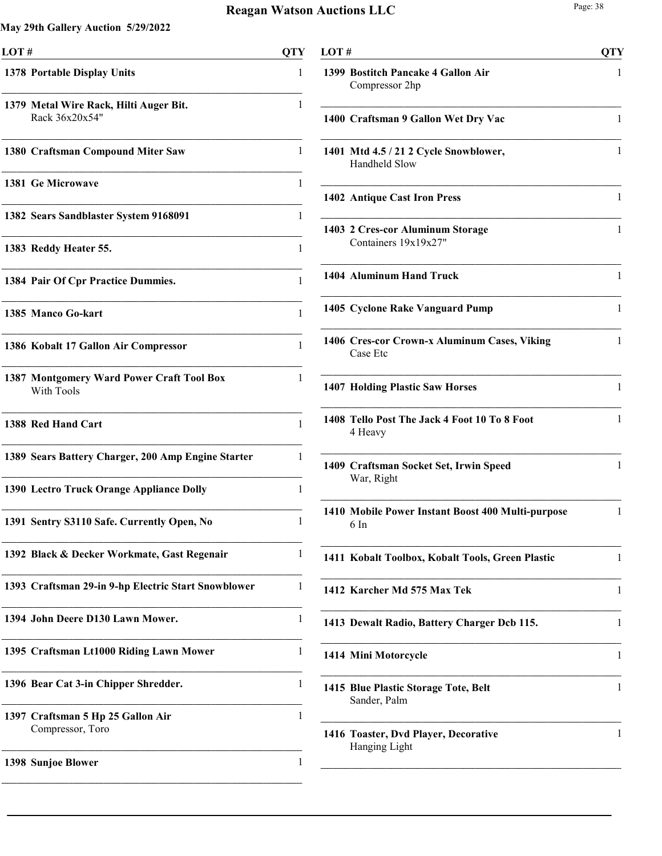| LOT#                                                     | <b>QTY</b> |
|----------------------------------------------------------|------------|
| 1378 Portable Display Units                              | 1          |
| 1379 Metal Wire Rack, Hilti Auger Bit.<br>Rack 36x20x54" | 1          |
| 1380 Craftsman Compound Miter Saw                        | 1          |
| <b>1381 Ge Microwave</b>                                 | 1          |
| 1382 Sears Sandblaster System 9168091                    | 1          |
| 1383 Reddy Heater 55.                                    | 1          |
| 1384 Pair Of Cpr Practice Dummies.                       | 1          |
| 1385 Manco Go-kart                                       | 1          |
| 1386 Kobalt 17 Gallon Air Compressor                     | 1          |
| 1387 Montgomery Ward Power Craft Tool Box<br>With Tools  | 1          |
| 1388 Red Hand Cart                                       | 1          |
| 1389 Sears Battery Charger, 200 Amp Engine Starter       | 1          |
| 1390 Lectro Truck Orange Appliance Dolly                 | 1          |
| 1391 Sentry S3110 Safe. Currently Open, No               | 1          |
| 1392 Black & Decker Workmate, Gast Regenair              | 1          |
| 1393 Craftsman 29-in 9-hp Electric Start Snowblower      | 1          |
| 1394 John Deere D130 Lawn Mower.                         | 1          |
| 1395 Craftsman Lt1000 Riding Lawn Mower                  | 1          |
| 1396 Bear Cat 3-in Chipper Shredder.                     | 1          |
| 1397 Craftsman 5 Hp 25 Gallon Air<br>Compressor, Toro    | 1          |
| 1398 Sunjoe Blower                                       | 1          |
|                                                          |            |

| LOT# |                                                           | <b>QTY</b> |
|------|-----------------------------------------------------------|------------|
|      | 1399 Bostitch Pancake 4 Gallon Air<br>Compressor 2hp      | 1          |
|      | 1400 Craftsman 9 Gallon Wet Dry Vac                       | 1          |
|      | 1401 Mtd 4.5 / 21 2 Cycle Snowblower,<br>Handheld Slow    | 1          |
|      | 1402 Antique Cast Iron Press                              | 1          |
|      | 1403 2 Cres-cor Aluminum Storage<br>Containers 19x19x27"  | 1          |
|      | 1404 Aluminum Hand Truck                                  | 1          |
|      | 1405 Cyclone Rake Vanguard Pump                           | 1          |
|      | 1406 Cres-cor Crown-x Aluminum Cases, Viking<br>Case Etc  | 1          |
|      | 1407 Holding Plastic Saw Horses                           | 1          |
|      | 1408 Tello Post The Jack 4 Foot 10 To 8 Foot<br>4 Heavy   | 1          |
|      | 1409 Craftsman Socket Set, Irwin Speed<br>War, Right      | 1          |
|      | 1410 Mobile Power Instant Boost 400 Multi-purpose<br>6 In | 1          |
|      | 1411 Kobalt Toolbox, Kobalt Tools, Green Plastic          | 1          |
|      | 1412 Karcher Md 575 Max Tek                               | 1          |
|      | 1413 Dewalt Radio, Battery Charger Dcb 115.               | 1          |
|      | 1414 Mini Motorcycle                                      | 1          |
|      | 1415 Blue Plastic Storage Tote, Belt<br>Sander, Palm      | 1          |
|      | 1416 Toaster, Dvd Player, Decorative<br>Hanging Light     | 1          |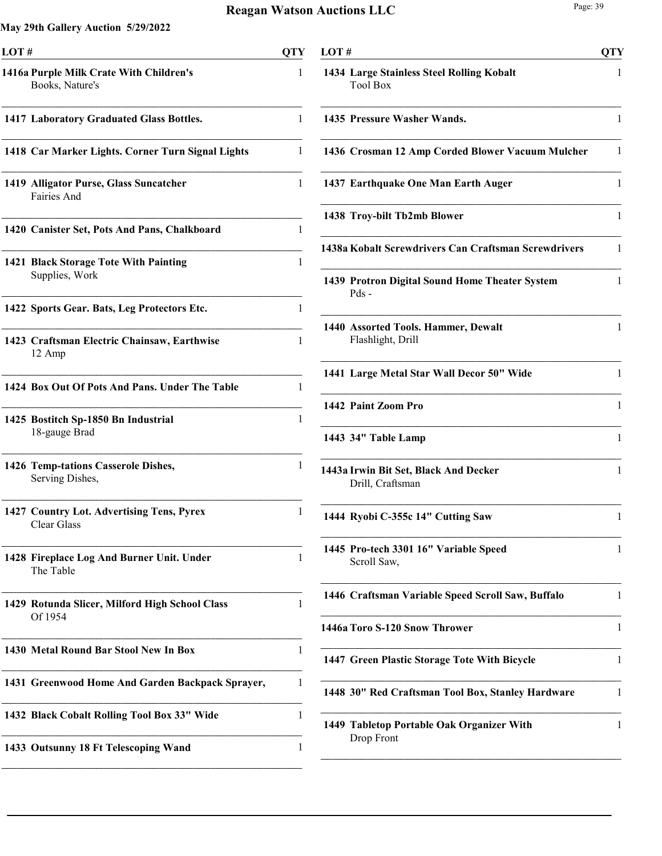j.

i.

| OTY                                                   |
|-------------------------------------------------------|
| 1                                                     |
| 1                                                     |
| 1                                                     |
| 1                                                     |
| 1                                                     |
| 1                                                     |
| 1                                                     |
| 1                                                     |
| 1                                                     |
| 1                                                     |
| 1                                                     |
| 1                                                     |
| 1                                                     |
| 1                                                     |
| 1                                                     |
| 1<br>1431 Greenwood Home And Garden Backpack Sprayer, |
| 1                                                     |
| 1                                                     |
|                                                       |

| LOT# |                                                              | <b>QTY</b> |
|------|--------------------------------------------------------------|------------|
|      | 1434 Large Stainless Steel Rolling Kobalt<br><b>Tool Box</b> | 1          |
|      | 1435 Pressure Washer Wands.                                  | 1          |
|      | 1436 Crosman 12 Amp Corded Blower Vacuum Mulcher             | 1          |
|      | 1437 Earthquake One Man Earth Auger                          | 1          |
|      | 1438 Troy-bilt Tb2mb Blower                                  | 1          |
|      | 1438a Kobalt Screwdrivers Can Craftsman Screwdrivers         | 1          |
|      | 1439 Protron Digital Sound Home Theater System<br>$Pds -$    | 1          |
|      | 1440 Assorted Tools. Hammer, Dewalt<br>Flashlight, Drill     | 1          |
|      | 1441 Large Metal Star Wall Decor 50" Wide                    | 1          |
|      | 1442 Paint Zoom Pro                                          | 1          |
|      | 1443 34" Table Lamp                                          | 1          |
|      | 1443a Irwin Bit Set, Black And Decker<br>Drill, Craftsman    | 1          |
|      | 1444 Ryobi C-355c 14" Cutting Saw                            | 1          |
|      | 1445 Pro-tech 3301 16" Variable Speed<br>Scroll Saw,         | 1          |
|      | 1446 Craftsman Variable Speed Scroll Saw, Buffalo            | 1          |
|      | 1446a Toro S-120 Snow Thrower                                | 1          |
|      | 1447 Green Plastic Storage Tote With Bicycle                 | 1          |
|      | 1448 30" Red Craftsman Tool Box, Stanley Hardware            | 1          |
|      | 1449 Tabletop Portable Oak Organizer With<br>Drop Front      | 1          |